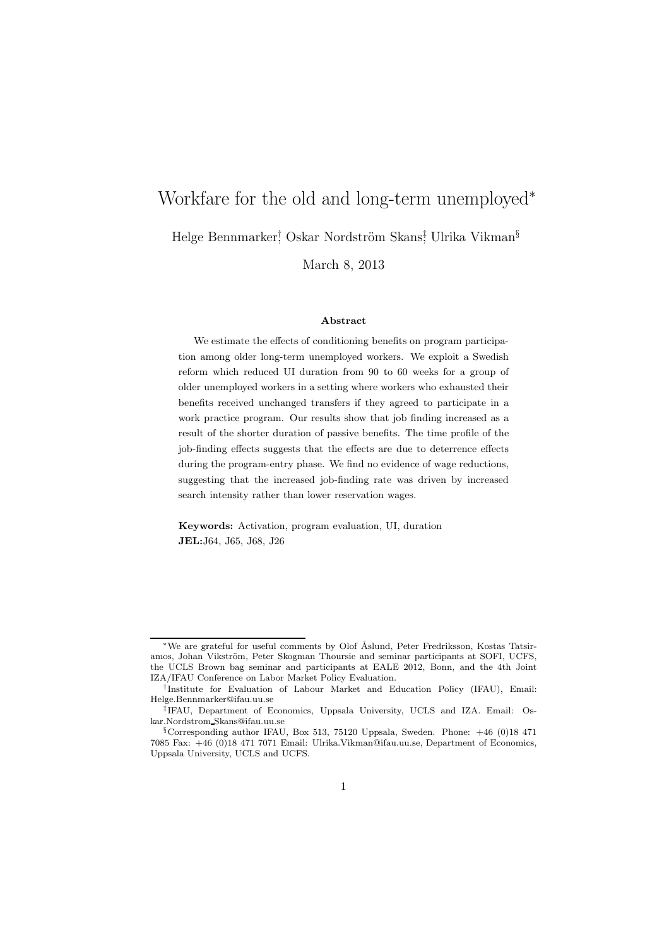# Workfare for the old and long-term unemployed<sup>∗</sup>

Helge Bennmarker<sup>†</sup>, Oskar Nordström Skans‡ Ulrika Vikman<sup>§</sup>

March 8, 2013

#### Abstract

We estimate the effects of conditioning benefits on program participation among older long-term unemployed workers. We exploit a Swedish reform which reduced UI duration from 90 to 60 weeks for a group of older unemployed workers in a setting where workers who exhausted their benefits received unchanged transfers if they agreed to participate in a work practice program. Our results show that job finding increased as a result of the shorter duration of passive benefits. The time profile of the job-finding effects suggests that the effects are due to deterrence effects during the program-entry phase. We find no evidence of wage reductions, suggesting that the increased job-finding rate was driven by increased search intensity rather than lower reservation wages.

Keywords: Activation, program evaluation, UI, duration JEL:J64, J65, J68, J26

<sup>∗</sup>We are grateful for useful comments by Olof ˚Aslund, Peter Fredriksson, Kostas Tatsiramos, Johan Vikström, Peter Skogman Thoursie and seminar participants at SOFI, UCFS, the UCLS Brown bag seminar and participants at EALE 2012, Bonn, and the 4th Joint IZA/IFAU Conference on Labor Market Policy Evaluation.

<sup>†</sup> Institute for Evaluation of Labour Market and Education Policy (IFAU), Email: Helge.Bennmarker@ifau.uu.se

<sup>‡</sup> IFAU, Department of Economics, Uppsala University, UCLS and IZA. Email: Oskar.Nordstrom Skans@ifau.uu.se

<sup>§</sup>Corresponding author IFAU, Box 513, 75120 Uppsala, Sweden. Phone: +46 (0)18 471 7085 Fax: +46 (0)18 471 7071 Email: Ulrika.Vikman@ifau.uu.se, Department of Economics, Uppsala University, UCLS and UCFS.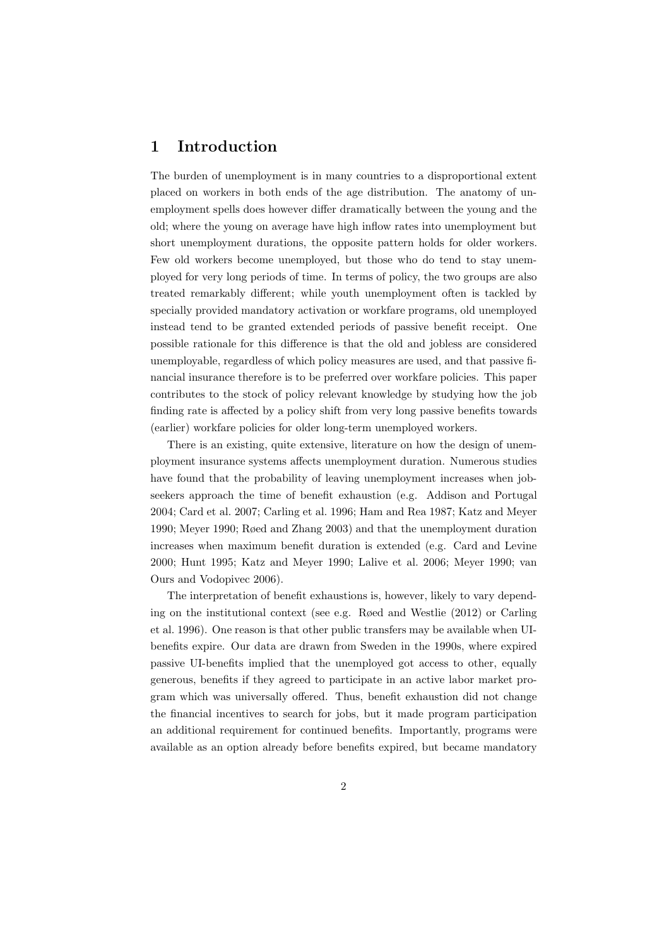### 1 Introduction

The burden of unemployment is in many countries to a disproportional extent placed on workers in both ends of the age distribution. The anatomy of unemployment spells does however differ dramatically between the young and the old; where the young on average have high inflow rates into unemployment but short unemployment durations, the opposite pattern holds for older workers. Few old workers become unemployed, but those who do tend to stay unemployed for very long periods of time. In terms of policy, the two groups are also treated remarkably different; while youth unemployment often is tackled by specially provided mandatory activation or workfare programs, old unemployed instead tend to be granted extended periods of passive benefit receipt. One possible rationale for this difference is that the old and jobless are considered unemployable, regardless of which policy measures are used, and that passive financial insurance therefore is to be preferred over workfare policies. This paper contributes to the stock of policy relevant knowledge by studying how the job finding rate is affected by a policy shift from very long passive benefits towards (earlier) workfare policies for older long-term unemployed workers.

There is an existing, quite extensive, literature on how the design of unemployment insurance systems affects unemployment duration. Numerous studies have found that the probability of leaving unemployment increases when jobseekers approach the time of benefit exhaustion (e.g. Addison and Portugal 2004; Card et al. 2007; Carling et al. 1996; Ham and Rea 1987; Katz and Meyer 1990; Meyer 1990; Røed and Zhang 2003) and that the unemployment duration increases when maximum benefit duration is extended (e.g. Card and Levine 2000; Hunt 1995; Katz and Meyer 1990; Lalive et al. 2006; Meyer 1990; van Ours and Vodopivec 2006).

The interpretation of benefit exhaustions is, however, likely to vary depending on the institutional context (see e.g. Røed and Westlie (2012) or Carling et al. 1996). One reason is that other public transfers may be available when UIbenefits expire. Our data are drawn from Sweden in the 1990s, where expired passive UI-benefits implied that the unemployed got access to other, equally generous, benefits if they agreed to participate in an active labor market program which was universally offered. Thus, benefit exhaustion did not change the financial incentives to search for jobs, but it made program participation an additional requirement for continued benefits. Importantly, programs were available as an option already before benefits expired, but became mandatory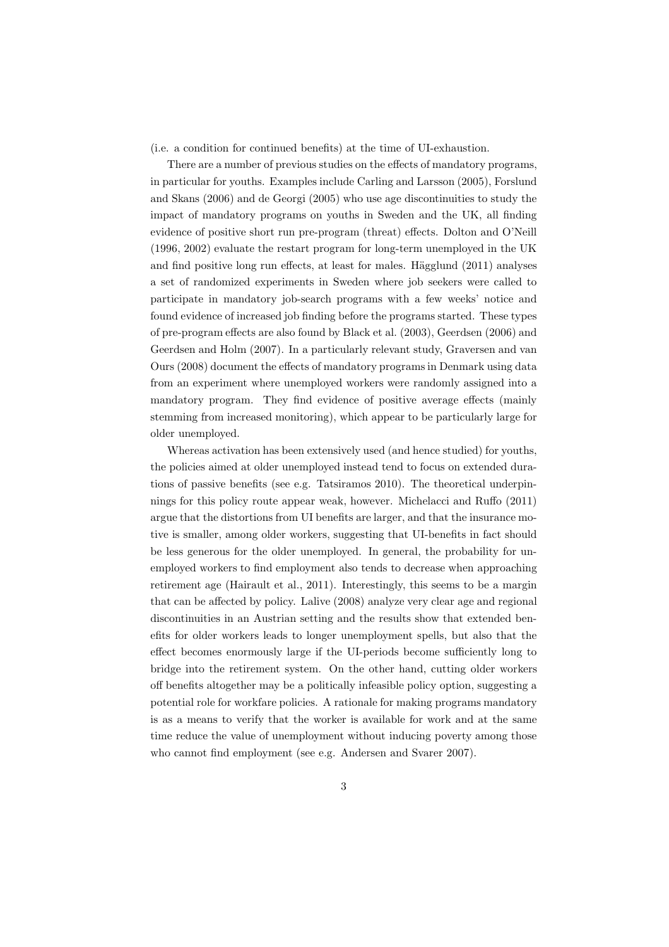(i.e. a condition for continued benefits) at the time of UI-exhaustion.

There are a number of previous studies on the effects of mandatory programs, in particular for youths. Examples include Carling and Larsson (2005), Forslund and Skans (2006) and de Georgi (2005) who use age discontinuities to study the impact of mandatory programs on youths in Sweden and the UK, all finding evidence of positive short run pre-program (threat) effects. Dolton and O'Neill (1996, 2002) evaluate the restart program for long-term unemployed in the UK and find positive long run effects, at least for males. Hägglund  $(2011)$  analyses a set of randomized experiments in Sweden where job seekers were called to participate in mandatory job-search programs with a few weeks' notice and found evidence of increased job finding before the programs started. These types of pre-program effects are also found by Black et al. (2003), Geerdsen (2006) and Geerdsen and Holm (2007). In a particularly relevant study, Graversen and van Ours (2008) document the effects of mandatory programs in Denmark using data from an experiment where unemployed workers were randomly assigned into a mandatory program. They find evidence of positive average effects (mainly stemming from increased monitoring), which appear to be particularly large for older unemployed.

Whereas activation has been extensively used (and hence studied) for youths, the policies aimed at older unemployed instead tend to focus on extended durations of passive benefits (see e.g. Tatsiramos 2010). The theoretical underpinnings for this policy route appear weak, however. Michelacci and Ruffo (2011) argue that the distortions from UI benefits are larger, and that the insurance motive is smaller, among older workers, suggesting that UI-benefits in fact should be less generous for the older unemployed. In general, the probability for unemployed workers to find employment also tends to decrease when approaching retirement age (Hairault et al., 2011). Interestingly, this seems to be a margin that can be affected by policy. Lalive (2008) analyze very clear age and regional discontinuities in an Austrian setting and the results show that extended benefits for older workers leads to longer unemployment spells, but also that the effect becomes enormously large if the UI-periods become sufficiently long to bridge into the retirement system. On the other hand, cutting older workers off benefits altogether may be a politically infeasible policy option, suggesting a potential role for workfare policies. A rationale for making programs mandatory is as a means to verify that the worker is available for work and at the same time reduce the value of unemployment without inducing poverty among those who cannot find employment (see e.g. Andersen and Svarer 2007).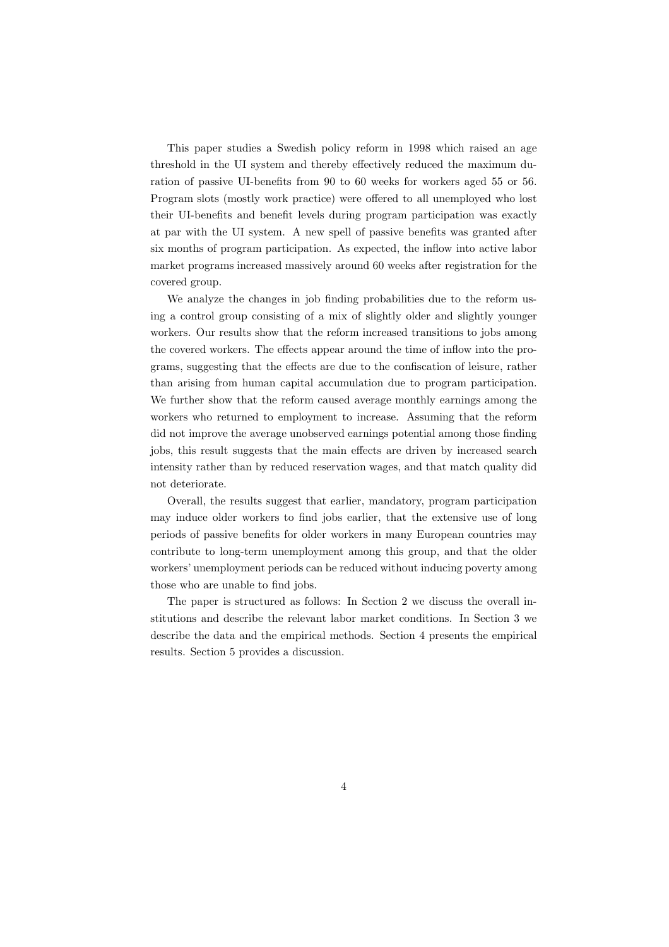This paper studies a Swedish policy reform in 1998 which raised an age threshold in the UI system and thereby effectively reduced the maximum duration of passive UI-benefits from 90 to 60 weeks for workers aged 55 or 56. Program slots (mostly work practice) were offered to all unemployed who lost their UI-benefits and benefit levels during program participation was exactly at par with the UI system. A new spell of passive benefits was granted after six months of program participation. As expected, the inflow into active labor market programs increased massively around 60 weeks after registration for the covered group.

We analyze the changes in job finding probabilities due to the reform using a control group consisting of a mix of slightly older and slightly younger workers. Our results show that the reform increased transitions to jobs among the covered workers. The effects appear around the time of inflow into the programs, suggesting that the effects are due to the confiscation of leisure, rather than arising from human capital accumulation due to program participation. We further show that the reform caused average monthly earnings among the workers who returned to employment to increase. Assuming that the reform did not improve the average unobserved earnings potential among those finding jobs, this result suggests that the main effects are driven by increased search intensity rather than by reduced reservation wages, and that match quality did not deteriorate.

Overall, the results suggest that earlier, mandatory, program participation may induce older workers to find jobs earlier, that the extensive use of long periods of passive benefits for older workers in many European countries may contribute to long-term unemployment among this group, and that the older workers' unemployment periods can be reduced without inducing poverty among those who are unable to find jobs.

The paper is structured as follows: In Section 2 we discuss the overall institutions and describe the relevant labor market conditions. In Section 3 we describe the data and the empirical methods. Section 4 presents the empirical results. Section 5 provides a discussion.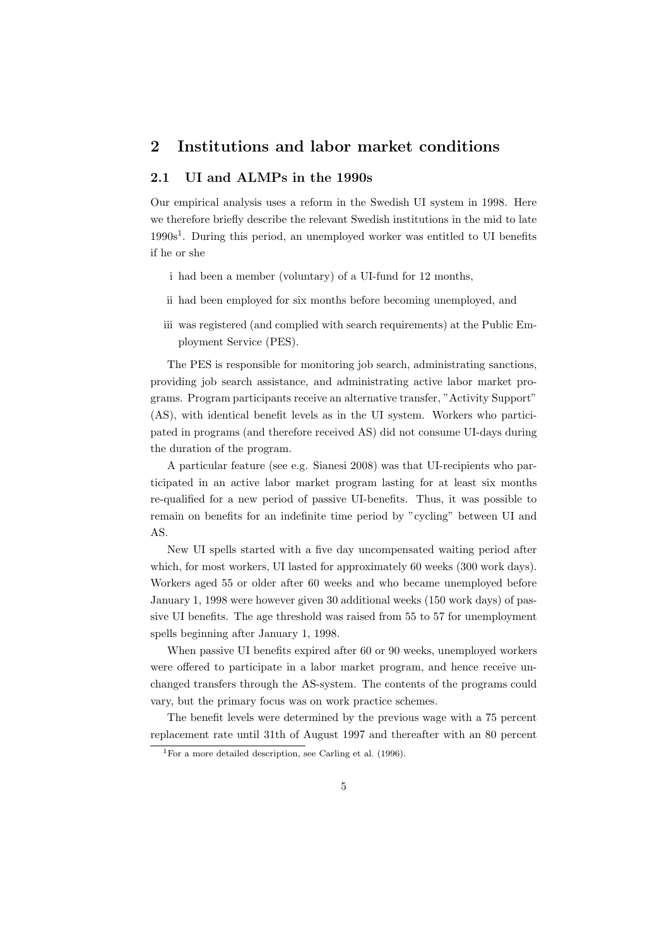## 2 Institutions and labor market conditions

### 2.1 UI and ALMPs in the 1990s

Our empirical analysis uses a reform in the Swedish UI system in 1998. Here we therefore briefly describe the relevant Swedish institutions in the mid to late 1990s<sup>1</sup>. During this period, an unemployed worker was entitled to UI benefits if he or she

- i had been a member (voluntary) of a UI-fund for 12 months,
- ii had been employed for six months before becoming unemployed, and
- iii was registered (and complied with search requirements) at the Public Employment Service (PES).

The PES is responsible for monitoring job search, administrating sanctions, providing job search assistance, and administrating active labor market programs. Program participants receive an alternative transfer, "Activity Support" (AS), with identical benefit levels as in the UI system. Workers who participated in programs (and therefore received AS) did not consume UI-days during the duration of the program.

A particular feature (see e.g. Sianesi 2008) was that UI-recipients who participated in an active labor market program lasting for at least six months re-qualified for a new period of passive UI-benefits. Thus, it was possible to remain on benefits for an indefinite time period by "cycling" between UI and AS.

New UI spells started with a five day uncompensated waiting period after which, for most workers, UI lasted for approximately 60 weeks (300 work days). Workers aged 55 or older after 60 weeks and who became unemployed before January 1, 1998 were however given 30 additional weeks (150 work days) of passive UI benefits. The age threshold was raised from 55 to 57 for unemployment spells beginning after January 1, 1998.

When passive UI benefits expired after 60 or 90 weeks, unemployed workers were offered to participate in a labor market program, and hence receive unchanged transfers through the AS-system. The contents of the programs could vary, but the primary focus was on work practice schemes.

The benefit levels were determined by the previous wage with a 75 percent replacement rate until 31th of August 1997 and thereafter with an 80 percent

<sup>&</sup>lt;sup>1</sup>For a more detailed description, see Carling et al.  $(1996)$ .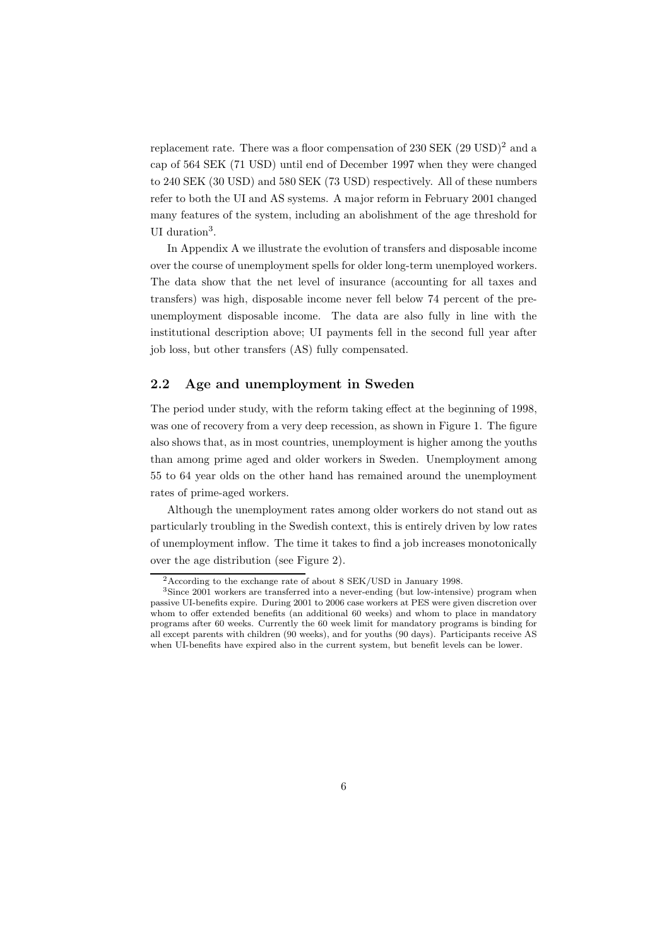replacement rate. There was a floor compensation of 230 SEK (29 USD)<sup>2</sup> and a cap of 564 SEK (71 USD) until end of December 1997 when they were changed to 240 SEK (30 USD) and 580 SEK (73 USD) respectively. All of these numbers refer to both the UI and AS systems. A major reform in February 2001 changed many features of the system, including an abolishment of the age threshold for UI duration<sup>3</sup>.

In Appendix A we illustrate the evolution of transfers and disposable income over the course of unemployment spells for older long-term unemployed workers. The data show that the net level of insurance (accounting for all taxes and transfers) was high, disposable income never fell below 74 percent of the preunemployment disposable income. The data are also fully in line with the institutional description above; UI payments fell in the second full year after job loss, but other transfers (AS) fully compensated.

#### 2.2 Age and unemployment in Sweden

The period under study, with the reform taking effect at the beginning of 1998, was one of recovery from a very deep recession, as shown in Figure 1. The figure also shows that, as in most countries, unemployment is higher among the youths than among prime aged and older workers in Sweden. Unemployment among 55 to 64 year olds on the other hand has remained around the unemployment rates of prime-aged workers.

Although the unemployment rates among older workers do not stand out as particularly troubling in the Swedish context, this is entirely driven by low rates of unemployment inflow. The time it takes to find a job increases monotonically over the age distribution (see Figure 2).

 $2$ According to the exchange rate of about 8 SEK/USD in January 1998.

<sup>3</sup>Since 2001 workers are transferred into a never-ending (but low-intensive) program when passive UI-benefits expire. During 2001 to 2006 case workers at PES were given discretion over whom to offer extended benefits (an additional 60 weeks) and whom to place in mandatory programs after 60 weeks. Currently the 60 week limit for mandatory programs is binding for all except parents with children (90 weeks), and for youths (90 days). Participants receive AS when UI-benefits have expired also in the current system, but benefit levels can be lower.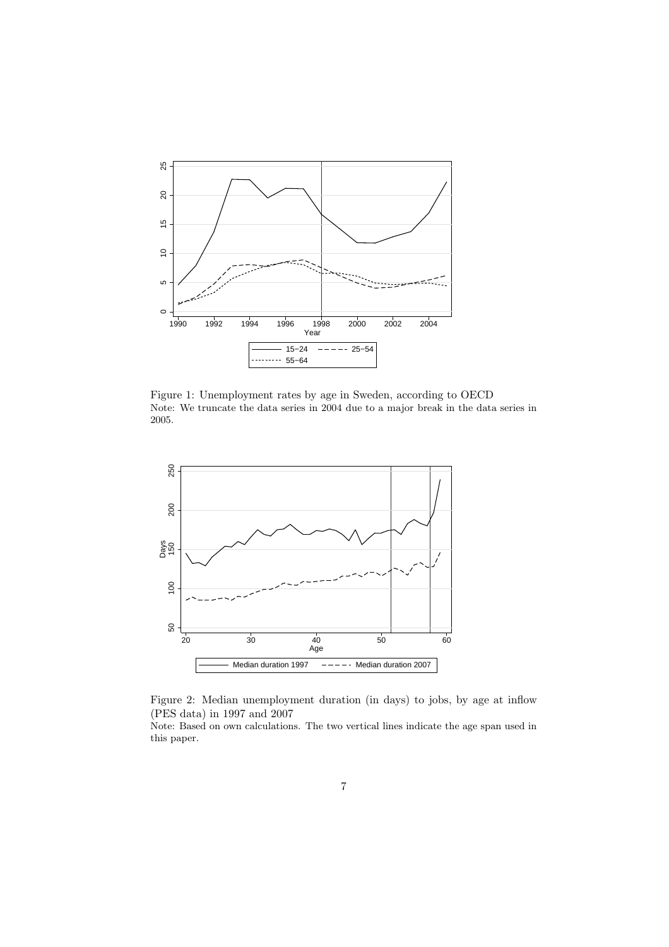

Figure 1: Unemployment rates by age in Sweden, according to OECD Note: We truncate the data series in 2004 due to a major break in the data series in 2005.



Figure 2: Median unemployment duration (in days) to jobs, by age at inflow (PES data) in 1997 and 2007

Note: Based on own calculations. The two vertical lines indicate the age span used in this paper.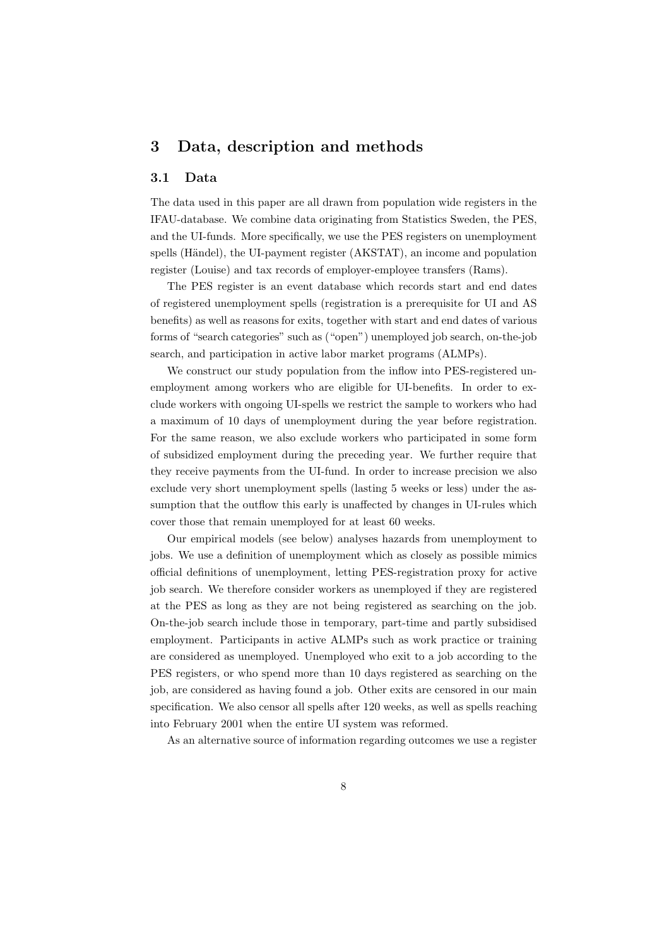# 3 Data, description and methods

### 3.1 Data

The data used in this paper are all drawn from population wide registers in the IFAU-database. We combine data originating from Statistics Sweden, the PES, and the UI-funds. More specifically, we use the PES registers on unemployment spells (Händel), the UI-payment register (AKSTAT), an income and population register (Louise) and tax records of employer-employee transfers (Rams).

The PES register is an event database which records start and end dates of registered unemployment spells (registration is a prerequisite for UI and AS benefits) as well as reasons for exits, together with start and end dates of various forms of "search categories" such as ("open") unemployed job search, on-the-job search, and participation in active labor market programs (ALMPs).

We construct our study population from the inflow into PES-registered unemployment among workers who are eligible for UI-benefits. In order to exclude workers with ongoing UI-spells we restrict the sample to workers who had a maximum of 10 days of unemployment during the year before registration. For the same reason, we also exclude workers who participated in some form of subsidized employment during the preceding year. We further require that they receive payments from the UI-fund. In order to increase precision we also exclude very short unemployment spells (lasting 5 weeks or less) under the assumption that the outflow this early is unaffected by changes in UI-rules which cover those that remain unemployed for at least 60 weeks.

Our empirical models (see below) analyses hazards from unemployment to jobs. We use a definition of unemployment which as closely as possible mimics official definitions of unemployment, letting PES-registration proxy for active job search. We therefore consider workers as unemployed if they are registered at the PES as long as they are not being registered as searching on the job. On-the-job search include those in temporary, part-time and partly subsidised employment. Participants in active ALMPs such as work practice or training are considered as unemployed. Unemployed who exit to a job according to the PES registers, or who spend more than 10 days registered as searching on the job, are considered as having found a job. Other exits are censored in our main specification. We also censor all spells after 120 weeks, as well as spells reaching into February 2001 when the entire UI system was reformed.

As an alternative source of information regarding outcomes we use a register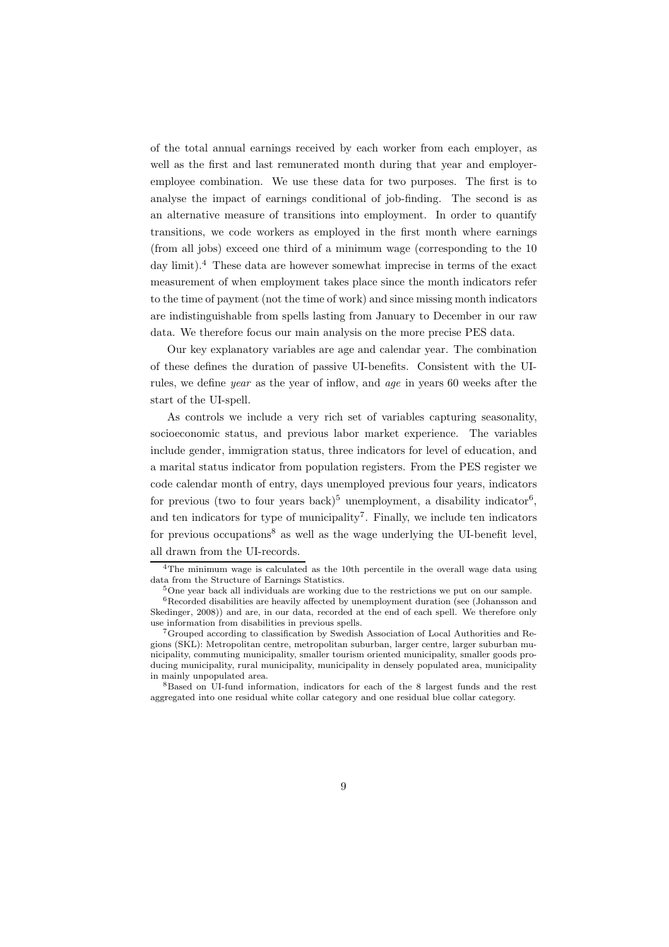of the total annual earnings received by each worker from each employer, as well as the first and last remunerated month during that year and employeremployee combination. We use these data for two purposes. The first is to analyse the impact of earnings conditional of job-finding. The second is as an alternative measure of transitions into employment. In order to quantify transitions, we code workers as employed in the first month where earnings (from all jobs) exceed one third of a minimum wage (corresponding to the 10 day limit).<sup>4</sup> These data are however somewhat imprecise in terms of the exact measurement of when employment takes place since the month indicators refer to the time of payment (not the time of work) and since missing month indicators are indistinguishable from spells lasting from January to December in our raw data. We therefore focus our main analysis on the more precise PES data.

Our key explanatory variables are age and calendar year. The combination of these defines the duration of passive UI-benefits. Consistent with the UIrules, we define year as the year of inflow, and age in years 60 weeks after the start of the UI-spell.

As controls we include a very rich set of variables capturing seasonality, socioeconomic status, and previous labor market experience. The variables include gender, immigration status, three indicators for level of education, and a marital status indicator from population registers. From the PES register we code calendar month of entry, days unemployed previous four years, indicators for previous (two to four years back)<sup>5</sup> unemployment, a disability indicator<sup>6</sup>, and ten indicators for type of municipality<sup>7</sup>. Finally, we include ten indicators for previous occupations<sup>8</sup> as well as the wage underlying the UI-benefit level, all drawn from the UI-records.

<sup>&</sup>lt;sup>4</sup>The minimum wage is calculated as the 10th percentile in the overall wage data using data from the Structure of Earnings Statistics.

<sup>&</sup>lt;sup>5</sup>One year back all individuals are working due to the restrictions we put on our sample.  ${}^{6}$ Recorded disabilities are heavily affected by unemployment duration (see (Johansson and Skedinger, 2008)) and are, in our data, recorded at the end of each spell. We therefore only use information from disabilities in previous spells.

<sup>7</sup>Grouped according to classification by Swedish Association of Local Authorities and Regions (SKL): Metropolitan centre, metropolitan suburban, larger centre, larger suburban municipality, commuting municipality, smaller tourism oriented municipality, smaller goods producing municipality, rural municipality, municipality in densely populated area, municipality in mainly unpopulated area.

<sup>8</sup>Based on UI-fund information, indicators for each of the 8 largest funds and the rest aggregated into one residual white collar category and one residual blue collar category.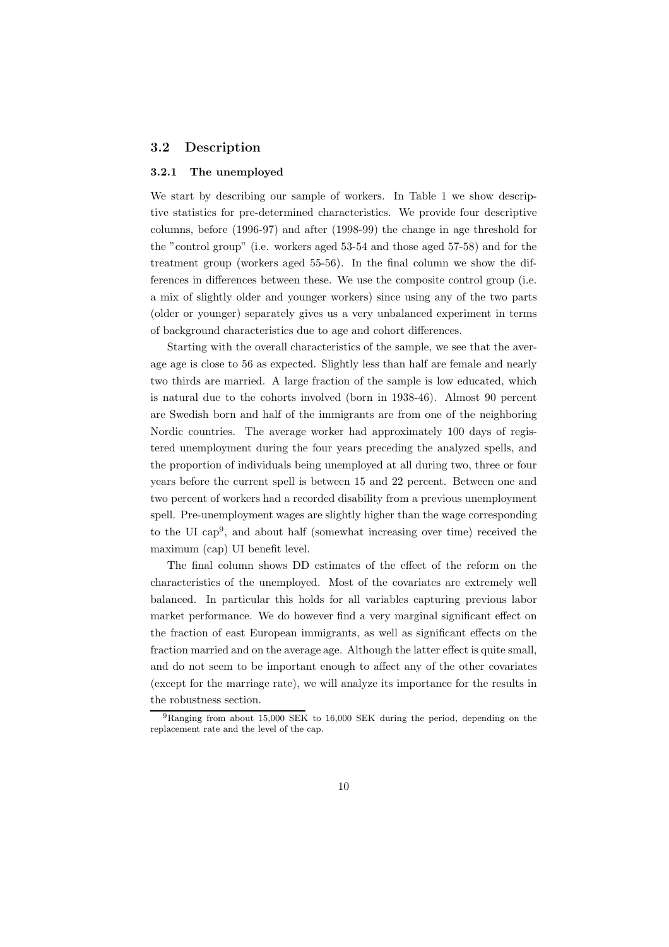#### 3.2 Description

#### 3.2.1 The unemployed

We start by describing our sample of workers. In Table 1 we show descriptive statistics for pre-determined characteristics. We provide four descriptive columns, before (1996-97) and after (1998-99) the change in age threshold for the "control group" (i.e. workers aged 53-54 and those aged 57-58) and for the treatment group (workers aged 55-56). In the final column we show the differences in differences between these. We use the composite control group (i.e. a mix of slightly older and younger workers) since using any of the two parts (older or younger) separately gives us a very unbalanced experiment in terms of background characteristics due to age and cohort differences.

Starting with the overall characteristics of the sample, we see that the average age is close to 56 as expected. Slightly less than half are female and nearly two thirds are married. A large fraction of the sample is low educated, which is natural due to the cohorts involved (born in 1938-46). Almost 90 percent are Swedish born and half of the immigrants are from one of the neighboring Nordic countries. The average worker had approximately 100 days of registered unemployment during the four years preceding the analyzed spells, and the proportion of individuals being unemployed at all during two, three or four years before the current spell is between 15 and 22 percent. Between one and two percent of workers had a recorded disability from a previous unemployment spell. Pre-unemployment wages are slightly higher than the wage corresponding to the UI cap<sup>9</sup> , and about half (somewhat increasing over time) received the maximum (cap) UI benefit level.

The final column shows DD estimates of the effect of the reform on the characteristics of the unemployed. Most of the covariates are extremely well balanced. In particular this holds for all variables capturing previous labor market performance. We do however find a very marginal significant effect on the fraction of east European immigrants, as well as significant effects on the fraction married and on the average age. Although the latter effect is quite small, and do not seem to be important enough to affect any of the other covariates (except for the marriage rate), we will analyze its importance for the results in the robustness section.

<sup>&</sup>lt;sup>9</sup>Ranging from about 15,000 SEK to 16,000 SEK during the period, depending on the replacement rate and the level of the cap.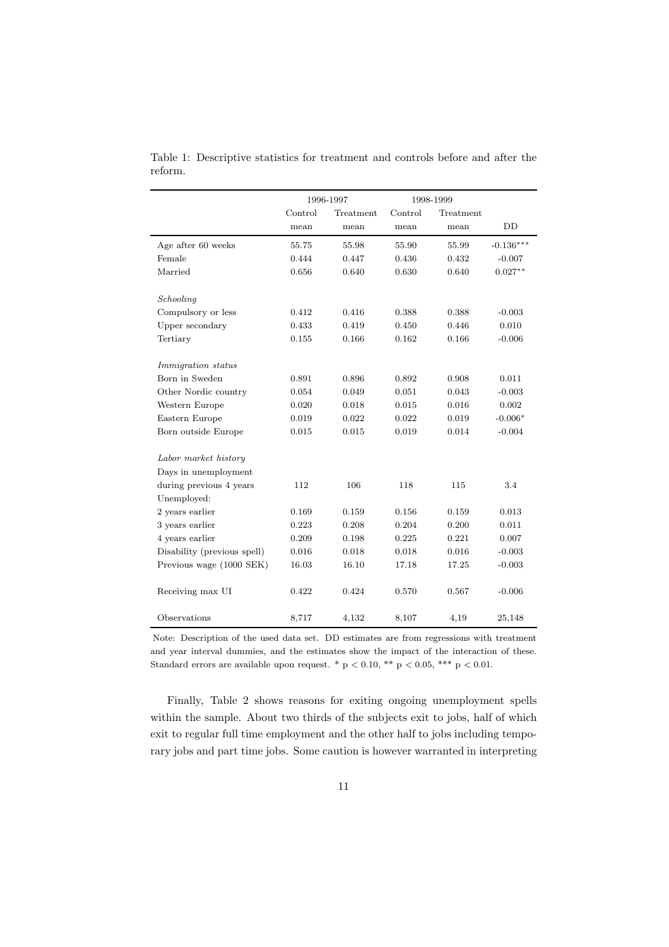|                             | 1996-1997 |           | 1998-1999 |           |             |
|-----------------------------|-----------|-----------|-----------|-----------|-------------|
|                             | Control   | Treatment | Control   | Treatment |             |
|                             | mean      | mean      | mean      | mean      | DD          |
| Age after 60 weeks          | 55.75     | 55.98     | 55.90     | 55.99     | $-0.136***$ |
| Female                      | 0.444     | 0.447     | 0.436     | 0.432     | $-0.007$    |
| Married                     | 0.656     | 0.640     | 0.630     | 0.640     | $0.027**$   |
|                             |           |           |           |           |             |
| Schooling                   |           |           |           |           |             |
| Compulsory or less          | 0.412     | 0.416     | 0.388     | 0.388     | $-0.003$    |
| Upper secondary             | 0.433     | 0.419     | 0.450     | 0.446     | 0.010       |
| Tertiary                    | 0.155     | 0.166     | 0.162     | 0.166     | $-0.006$    |
| <i>Immigration status</i>   |           |           |           |           |             |
| Born in Sweden              | 0.891     | 0.896     | 0.892     | 0.908     | 0.011       |
| Other Nordic country        | 0.054     | 0.049     | 0.051     | 0.043     | $-0.003$    |
| Western Europe              | 0.020     | 0.018     | 0.015     | 0.016     | 0.002       |
| Eastern Europe              | 0.019     | 0.022     | 0.022     | 0.019     | $-0.006*$   |
| Born outside Europe         | 0.015     | 0.015     | 0.019     | 0.014     | $-0.004$    |
| Labor market history        |           |           |           |           |             |
| Days in unemployment        |           |           |           |           |             |
| during previous 4 years     | 112       | 106       | 118       | 115       | 3.4         |
| Unemployed:                 |           |           |           |           |             |
| 2 years earlier             | 0.169     | 0.159     | 0.156     | 0.159     | 0.013       |
| 3 years earlier             | 0.223     | 0.208     | 0.204     | 0.200     | 0.011       |
| 4 years earlier             | 0.209     | 0.198     | 0.225     | 0.221     | 0.007       |
| Disability (previous spell) | 0.016     | 0.018     | 0.018     | 0.016     | $-0.003$    |
| Previous wage (1000 SEK)    | 16.03     | 16.10     | 17.18     | 17.25     | $-0.003$    |
|                             |           |           |           |           |             |
| Receiving max UI            | 0.422     | 0.424     | 0.570     | 0.567     | $-0.006$    |
| Observations                | 8,717     | 4,132     | 8,107     | 4,19      | 25,148      |

Table 1: Descriptive statistics for treatment and controls before and after the reform.

Note: Description of the used data set. DD estimates are from regressions with treatment and year interval dummies, and the estimates show the impact of the interaction of these. Standard errors are available upon request. \* p < 0.10, \*\* p < 0.05, \*\*\* p < 0.01.

Finally, Table 2 shows reasons for exiting ongoing unemployment spells within the sample. About two thirds of the subjects exit to jobs, half of which exit to regular full time employment and the other half to jobs including temporary jobs and part time jobs. Some caution is however warranted in interpreting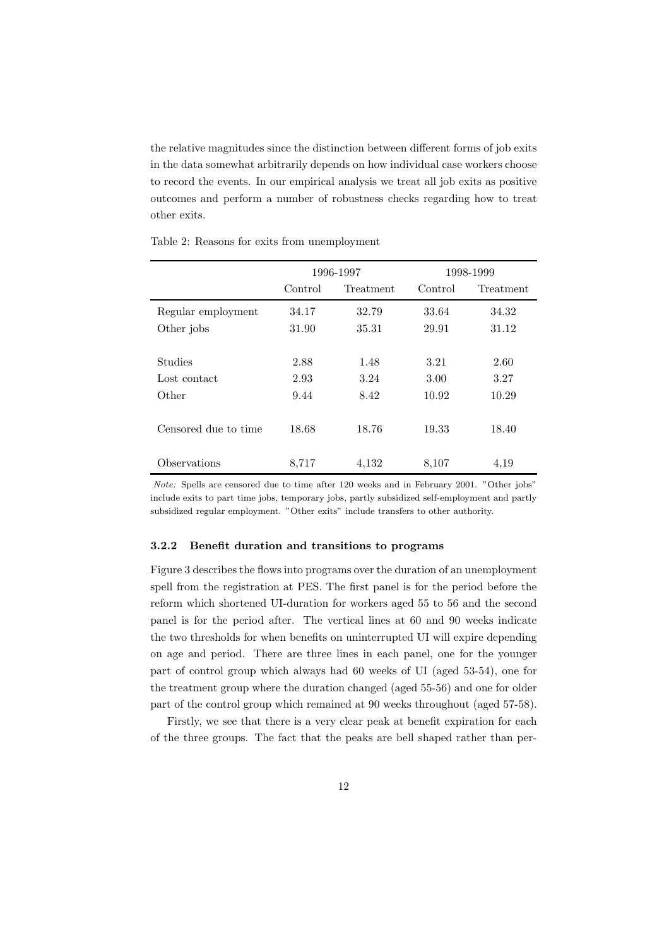the relative magnitudes since the distinction between different forms of job exits in the data somewhat arbitrarily depends on how individual case workers choose to record the events. In our empirical analysis we treat all job exits as positive outcomes and perform a number of robustness checks regarding how to treat other exits.

|                      |         | 1996-1997 |         | 1998-1999 |
|----------------------|---------|-----------|---------|-----------|
|                      | Control | Treatment | Control | Treatment |
| Regular employment   | 34.17   | 32.79     | 33.64   | 34.32     |
| Other jobs           | 31.90   | 35.31     | 29.91   | 31.12     |
|                      |         |           |         |           |
| <b>Studies</b>       | 2.88    | 1.48      | 3.21    | 2.60      |
| Lost contact         | 2.93    | 3.24      | 3.00    | 3.27      |
| Other                | 9.44    | 8.42      | 10.92   | 10.29     |
|                      |         |           |         |           |
| Censored due to time | 18.68   | 18.76     | 19.33   | 18.40     |
|                      |         |           |         |           |
| Observations         | 8,717   | 4,132     | 8,107   | 4.19      |

Table 2: Reasons for exits from unemployment

Note: Spells are censored due to time after 120 weeks and in February 2001. "Other jobs" include exits to part time jobs, temporary jobs, partly subsidized self-employment and partly subsidized regular employment. "Other exits" include transfers to other authority.

#### 3.2.2 Benefit duration and transitions to programs

Figure 3 describes the flows into programs over the duration of an unemployment spell from the registration at PES. The first panel is for the period before the reform which shortened UI-duration for workers aged 55 to 56 and the second panel is for the period after. The vertical lines at 60 and 90 weeks indicate the two thresholds for when benefits on uninterrupted UI will expire depending on age and period. There are three lines in each panel, one for the younger part of control group which always had 60 weeks of UI (aged 53-54), one for the treatment group where the duration changed (aged 55-56) and one for older part of the control group which remained at 90 weeks throughout (aged 57-58).

Firstly, we see that there is a very clear peak at benefit expiration for each of the three groups. The fact that the peaks are bell shaped rather than per-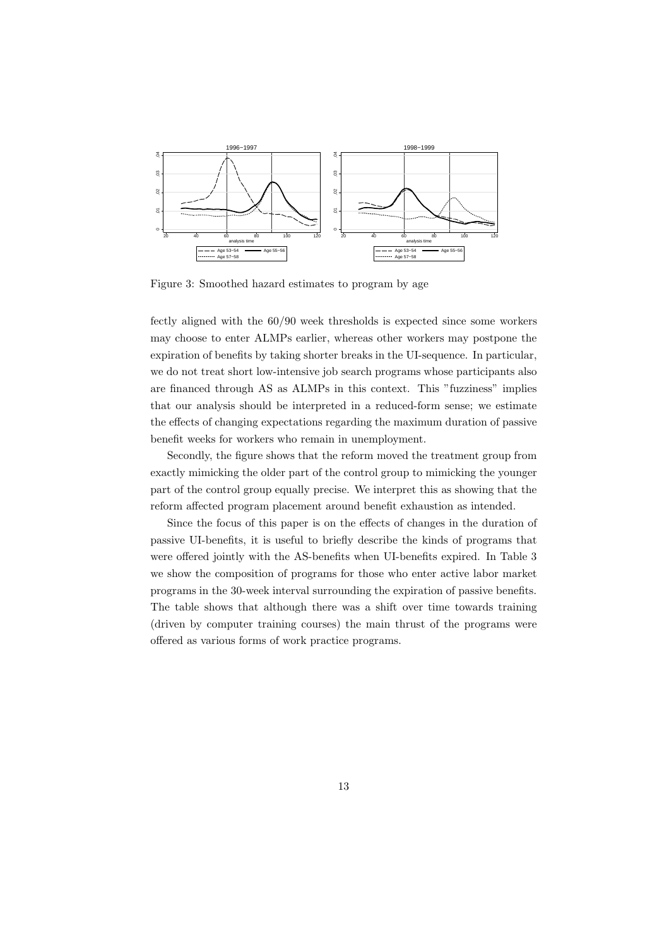

Figure 3: Smoothed hazard estimates to program by age

fectly aligned with the 60/90 week thresholds is expected since some workers may choose to enter ALMPs earlier, whereas other workers may postpone the expiration of benefits by taking shorter breaks in the UI-sequence. In particular, we do not treat short low-intensive job search programs whose participants also are financed through AS as ALMPs in this context. This "fuzziness" implies that our analysis should be interpreted in a reduced-form sense; we estimate the effects of changing expectations regarding the maximum duration of passive benefit weeks for workers who remain in unemployment.

Secondly, the figure shows that the reform moved the treatment group from exactly mimicking the older part of the control group to mimicking the younger part of the control group equally precise. We interpret this as showing that the reform affected program placement around benefit exhaustion as intended.

Since the focus of this paper is on the effects of changes in the duration of passive UI-benefits, it is useful to briefly describe the kinds of programs that were offered jointly with the AS-benefits when UI-benefits expired. In Table 3 we show the composition of programs for those who enter active labor market programs in the 30-week interval surrounding the expiration of passive benefits. The table shows that although there was a shift over time towards training (driven by computer training courses) the main thrust of the programs were offered as various forms of work practice programs.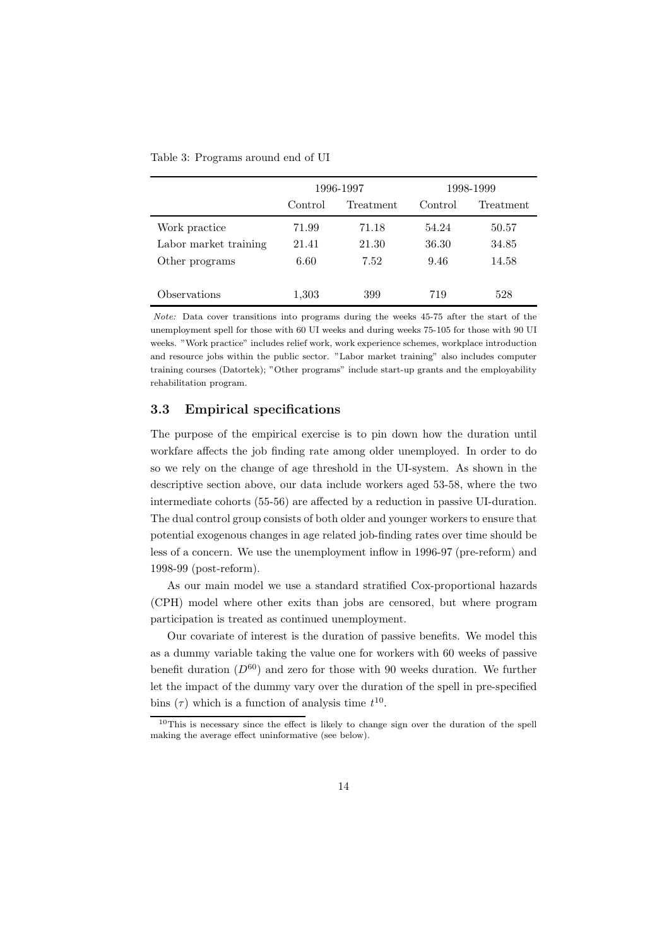|                       |         | 1996-1997 |         | 1998-1999 |
|-----------------------|---------|-----------|---------|-----------|
|                       | Control | Treatment | Control | Treatment |
| Work practice         | 71.99   | 71.18     | 54.24   | 50.57     |
| Labor market training | 21.41   | 21.30     | 36.30   | 34.85     |
| Other programs        | 6.60    | 7.52      | 9.46    | 14.58     |
| Observations          | 1,303   | 399       | 719     | 528       |

Table 3: Programs around end of UI

Note: Data cover transitions into programs during the weeks 45-75 after the start of the unemployment spell for those with 60 UI weeks and during weeks 75-105 for those with 90 UI weeks. "Work practice" includes relief work, work experience schemes, workplace introduction and resource jobs within the public sector. "Labor market training" also includes computer training courses (Datortek); "Other programs" include start-up grants and the employability rehabilitation program.

#### 3.3 Empirical specifications

The purpose of the empirical exercise is to pin down how the duration until workfare affects the job finding rate among older unemployed. In order to do so we rely on the change of age threshold in the UI-system. As shown in the descriptive section above, our data include workers aged 53-58, where the two intermediate cohorts (55-56) are affected by a reduction in passive UI-duration. The dual control group consists of both older and younger workers to ensure that potential exogenous changes in age related job-finding rates over time should be less of a concern. We use the unemployment inflow in 1996-97 (pre-reform) and 1998-99 (post-reform).

As our main model we use a standard stratified Cox-proportional hazards (CPH) model where other exits than jobs are censored, but where program participation is treated as continued unemployment.

Our covariate of interest is the duration of passive benefits. We model this as a dummy variable taking the value one for workers with 60 weeks of passive benefit duration  $(D^{60})$  and zero for those with 90 weeks duration. We further let the impact of the dummy vary over the duration of the spell in pre-specified bins  $(\tau)$  which is a function of analysis time  $t^{10}$ .

<sup>10</sup>This is necessary since the effect is likely to change sign over the duration of the spell making the average effect uninformative (see below).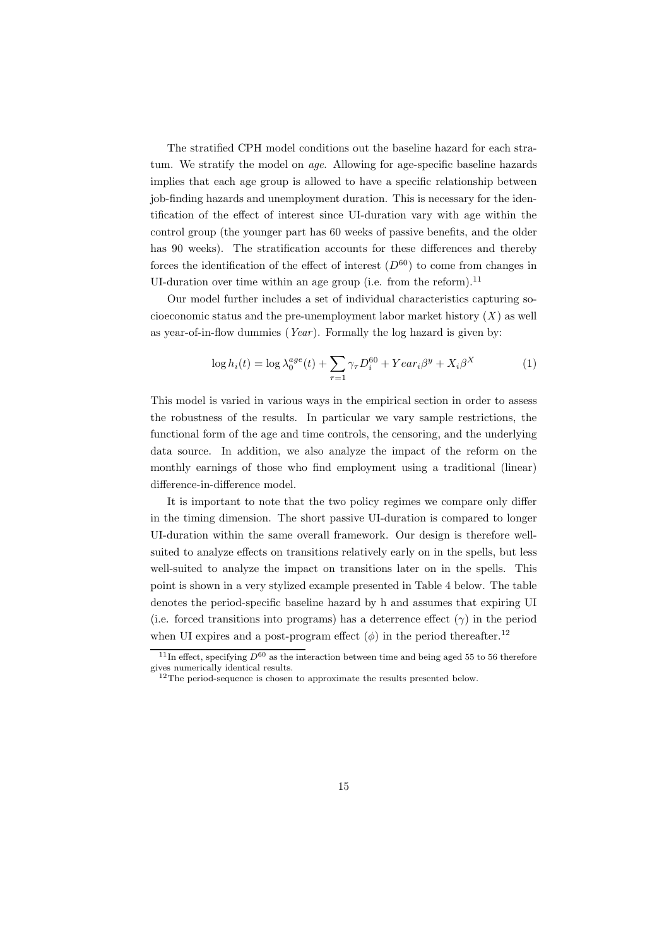The stratified CPH model conditions out the baseline hazard for each stratum. We stratify the model on age. Allowing for age-specific baseline hazards implies that each age group is allowed to have a specific relationship between job-finding hazards and unemployment duration. This is necessary for the identification of the effect of interest since UI-duration vary with age within the control group (the younger part has 60 weeks of passive benefits, and the older has 90 weeks). The stratification accounts for these differences and thereby forces the identification of the effect of interest  $(D^{60})$  to come from changes in UI-duration over time within an age group (i.e. from the reform).<sup>11</sup>

Our model further includes a set of individual characteristics capturing socioeconomic status and the pre-unemployment labor market history  $(X)$  as well as year-of-in-flow dummies (Year). Formally the log hazard is given by:

$$
\log h_i(t) = \log \lambda_0^{age}(t) + \sum_{\tau=1} \gamma_\tau D_i^{60} + Year_i \beta^y + X_i \beta^X \tag{1}
$$

This model is varied in various ways in the empirical section in order to assess the robustness of the results. In particular we vary sample restrictions, the functional form of the age and time controls, the censoring, and the underlying data source. In addition, we also analyze the impact of the reform on the monthly earnings of those who find employment using a traditional (linear) difference-in-difference model.

It is important to note that the two policy regimes we compare only differ in the timing dimension. The short passive UI-duration is compared to longer UI-duration within the same overall framework. Our design is therefore wellsuited to analyze effects on transitions relatively early on in the spells, but less well-suited to analyze the impact on transitions later on in the spells. This point is shown in a very stylized example presented in Table 4 below. The table denotes the period-specific baseline hazard by h and assumes that expiring UI (i.e. forced transitions into programs) has a deterrence effect  $(\gamma)$  in the period when UI expires and a post-program effect  $(\phi)$  in the period thereafter.<sup>12</sup>

<sup>&</sup>lt;sup>11</sup>In effect, specifying  $D^{60}$  as the interaction between time and being aged 55 to 56 therefore gives numerically identical results. <sup>12</sup>The period-sequence is chosen to approximate the results presented below.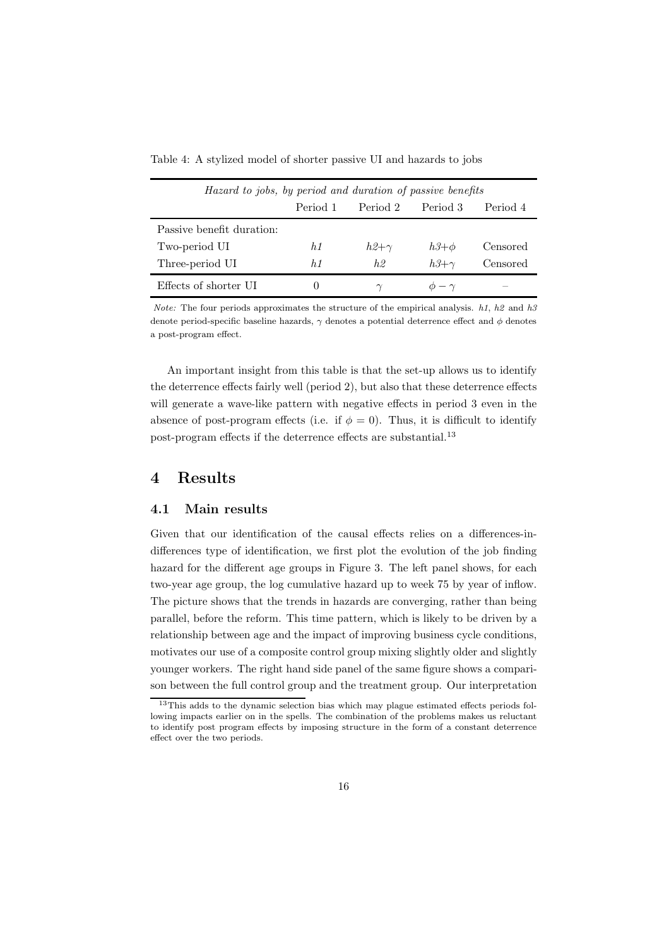| Table 4: A stylized model of shorter passive UI and hazards to jobs |  |  |  |  |  |  |  |  |  |  |  |  |  |
|---------------------------------------------------------------------|--|--|--|--|--|--|--|--|--|--|--|--|--|
|---------------------------------------------------------------------|--|--|--|--|--|--|--|--|--|--|--|--|--|

| Hazard to jobs, by period and duration of passive benefits |          |             |                 |          |  |  |  |
|------------------------------------------------------------|----------|-------------|-----------------|----------|--|--|--|
|                                                            | Period 1 | Period 2    | Period 3        | Period 4 |  |  |  |
| Passive benefit duration:                                  |          |             |                 |          |  |  |  |
| Two-period UI                                              | h1       | $h2+\gamma$ | $h3+\phi$       | Censored |  |  |  |
| Three-period UI                                            | h1       | h2          | $h3+\gamma$     | Censored |  |  |  |
| Effects of shorter UI                                      | $\cup$   |             | $\phi - \gamma$ |          |  |  |  |

*Note:* The four periods approximates the structure of the empirical analysis. h1, h2 and h3 denote period-specific baseline hazards,  $\gamma$  denotes a potential deterrence effect and  $\phi$  denotes a post-program effect.

An important insight from this table is that the set-up allows us to identify the deterrence effects fairly well (period 2), but also that these deterrence effects will generate a wave-like pattern with negative effects in period 3 even in the absence of post-program effects (i.e. if  $\phi = 0$ ). Thus, it is difficult to identify post-program effects if the deterrence effects are substantial.<sup>13</sup>

### 4 Results

### 4.1 Main results

Given that our identification of the causal effects relies on a differences-indifferences type of identification, we first plot the evolution of the job finding hazard for the different age groups in Figure 3. The left panel shows, for each two-year age group, the log cumulative hazard up to week 75 by year of inflow. The picture shows that the trends in hazards are converging, rather than being parallel, before the reform. This time pattern, which is likely to be driven by a relationship between age and the impact of improving business cycle conditions, motivates our use of a composite control group mixing slightly older and slightly younger workers. The right hand side panel of the same figure shows a comparison between the full control group and the treatment group. Our interpretation

<sup>13</sup>This adds to the dynamic selection bias which may plague estimated effects periods following impacts earlier on in the spells. The combination of the problems makes us reluctant to identify post program effects by imposing structure in the form of a constant deterrence effect over the two periods.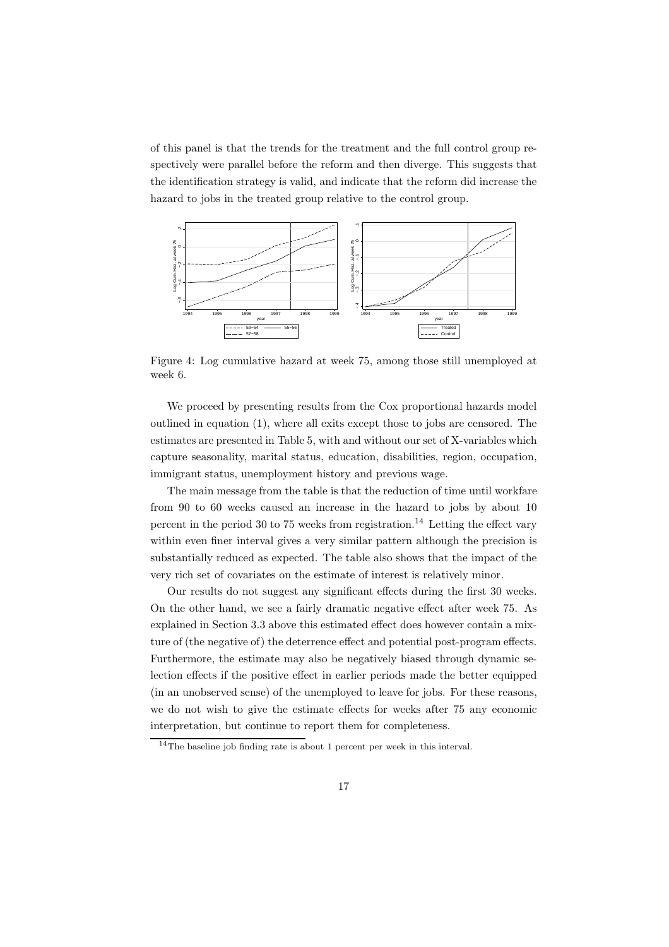of this panel is that the trends for the treatment and the full control group respectively were parallel before the reform and then diverge. This suggests that the identification strategy is valid, and indicate that the reform did increase the hazard to jobs in the treated group relative to the control group.



Figure 4: Log cumulative hazard at week 75, among those still unemployed at week 6.

We proceed by presenting results from the Cox proportional hazards model outlined in equation (1), where all exits except those to jobs are censored. The estimates are presented in Table 5, with and without our set of X-variables which capture seasonality, marital status, education, disabilities, region, occupation, immigrant status, unemployment history and previous wage.

The main message from the table is that the reduction of time until workfare from 90 to 60 weeks caused an increase in the hazard to jobs by about 10 percent in the period 30 to 75 weeks from registration.<sup>14</sup> Letting the effect vary within even finer interval gives a very similar pattern although the precision is substantially reduced as expected. The table also shows that the impact of the very rich set of covariates on the estimate of interest is relatively minor.

Our results do not suggest any significant effects during the first 30 weeks. On the other hand, we see a fairly dramatic negative effect after week 75. As explained in Section 3.3 above this estimated effect does however contain a mixture of (the negative of) the deterrence effect and potential post-program effects. Furthermore, the estimate may also be negatively biased through dynamic selection effects if the positive effect in earlier periods made the better equipped (in an unobserved sense) of the unemployed to leave for jobs. For these reasons, we do not wish to give the estimate effects for weeks after 75 any economic interpretation, but continue to report them for completeness.

<sup>14</sup>The baseline job finding rate is about 1 percent per week in this interval.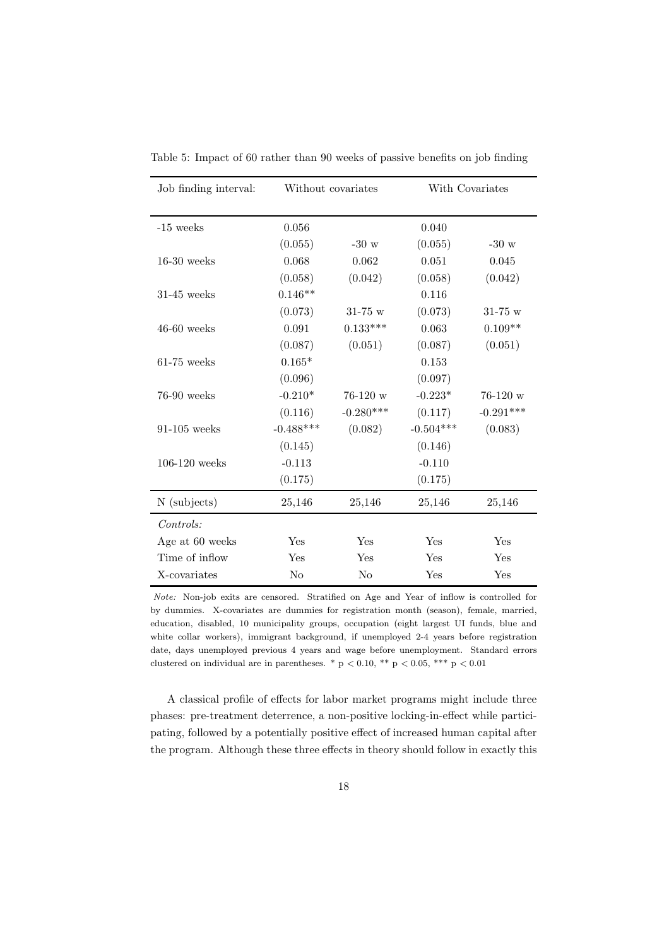| Job finding interval: | Without covariates |                | With Covariates |             |
|-----------------------|--------------------|----------------|-----------------|-------------|
| $-15$ weeks           | 0.056              |                | 0.040           |             |
|                       | (0.055)            | $-30$ w        | (0.055)         | $-30 w$     |
| $16-30$ weeks         | 0.068              | 0.062          | 0.051           | 0.045       |
|                       | (0.058)            | (0.042)        | (0.058)         | (0.042)     |
| $31-45$ weeks         | $0.146**$          |                | 0.116           |             |
|                       | (0.073)            | $31 - 75$ w    | (0.073)         | $31 - 75$ w |
| $46-60$ weeks         | 0.091              | $0.133***$     | 0.063           | $0.109**$   |
|                       | (0.087)            | (0.051)        | (0.087)         | (0.051)     |
| $61-75$ weeks         | $0.165*$           |                | 0.153           |             |
|                       | (0.096)            |                | (0.097)         |             |
| $76-90$ weeks         | $-0.210*$          | $76-120$ w     | $-0.223*$       | $76-120$ w  |
|                       | (0.116)            | $-0.280***$    | (0.117)         | $-0.291***$ |
| $91-105$ weeks        | $-0.488***$        | (0.082)        | $-0.504***$     | (0.083)     |
|                       | (0.145)            |                | (0.146)         |             |
| $106-120$ weeks       | $-0.113$           |                | $-0.110$        |             |
|                       | (0.175)            |                | (0.175)         |             |
| N (subjects)          | 25,146             | 25,146         | 25,146          | 25,146      |
| Controls:             |                    |                |                 |             |
| Age at 60 weeks       | Yes                | Yes            | Yes             | Yes         |
| Time of inflow        | Yes                | Yes            | Yes             | Yes         |
| X-covariates          | N <sub>o</sub>     | N <sub>o</sub> | Yes             | Yes         |

Table 5: Impact of 60 rather than 90 weeks of passive benefits on job finding

Note: Non-job exits are censored. Stratified on Age and Year of inflow is controlled for by dummies. X-covariates are dummies for registration month (season), female, married, education, disabled, 10 municipality groups, occupation (eight largest UI funds, blue and white collar workers), immigrant background, if unemployed 2-4 years before registration date, days unemployed previous 4 years and wage before unemployment. Standard errors clustered on individual are in parentheses. \* p  $< 0.10$ , \*\* p  $< 0.05$ , \*\*\* p  $< 0.01$ 

A classical profile of effects for labor market programs might include three phases: pre-treatment deterrence, a non-positive locking-in-effect while participating, followed by a potentially positive effect of increased human capital after the program. Although these three effects in theory should follow in exactly this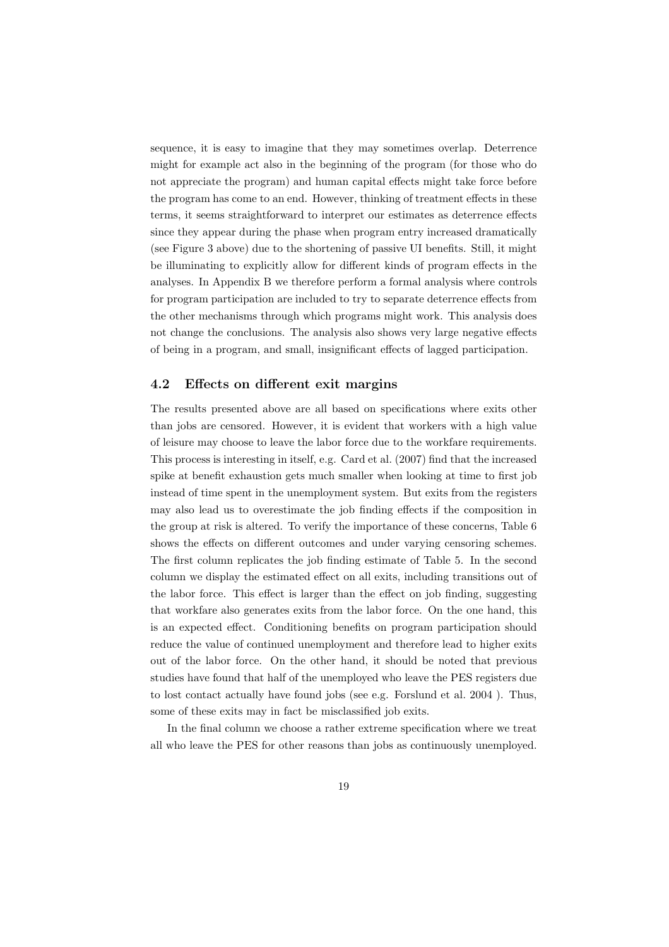sequence, it is easy to imagine that they may sometimes overlap. Deterrence might for example act also in the beginning of the program (for those who do not appreciate the program) and human capital effects might take force before the program has come to an end. However, thinking of treatment effects in these terms, it seems straightforward to interpret our estimates as deterrence effects since they appear during the phase when program entry increased dramatically (see Figure 3 above) due to the shortening of passive UI benefits. Still, it might be illuminating to explicitly allow for different kinds of program effects in the analyses. In Appendix B we therefore perform a formal analysis where controls for program participation are included to try to separate deterrence effects from the other mechanisms through which programs might work. This analysis does not change the conclusions. The analysis also shows very large negative effects of being in a program, and small, insignificant effects of lagged participation.

#### 4.2 Effects on different exit margins

The results presented above are all based on specifications where exits other than jobs are censored. However, it is evident that workers with a high value of leisure may choose to leave the labor force due to the workfare requirements. This process is interesting in itself, e.g. Card et al. (2007) find that the increased spike at benefit exhaustion gets much smaller when looking at time to first job instead of time spent in the unemployment system. But exits from the registers may also lead us to overestimate the job finding effects if the composition in the group at risk is altered. To verify the importance of these concerns, Table 6 shows the effects on different outcomes and under varying censoring schemes. The first column replicates the job finding estimate of Table 5. In the second column we display the estimated effect on all exits, including transitions out of the labor force. This effect is larger than the effect on job finding, suggesting that workfare also generates exits from the labor force. On the one hand, this is an expected effect. Conditioning benefits on program participation should reduce the value of continued unemployment and therefore lead to higher exits out of the labor force. On the other hand, it should be noted that previous studies have found that half of the unemployed who leave the PES registers due to lost contact actually have found jobs (see e.g. Forslund et al. 2004 ). Thus, some of these exits may in fact be misclassified job exits.

In the final column we choose a rather extreme specification where we treat all who leave the PES for other reasons than jobs as continuously unemployed.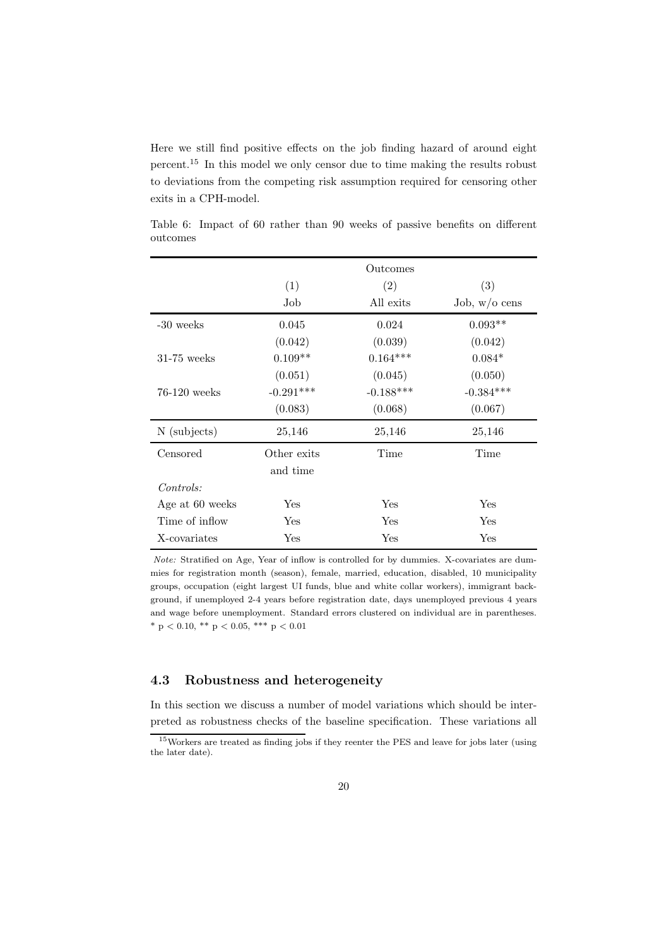Here we still find positive effects on the job finding hazard of around eight percent.<sup>15</sup> In this model we only censor due to time making the results robust to deviations from the competing risk assumption required for censoring other exits in a CPH-model.

|                 |             | Outcomes    |                 |
|-----------------|-------------|-------------|-----------------|
|                 | (1)         | (2)         | (3)             |
|                 | Job         | All exits   | Job, $w/o$ cens |
| $-30$ weeks     | 0.045       | 0.024       | $0.093**$       |
|                 | (0.042)     | (0.039)     | (0.042)         |
| $31-75$ weeks   | $0.109**$   | $0.164***$  | $0.084*$        |
|                 | (0.051)     | (0.045)     | (0.050)         |
| $76-120$ weeks  | $-0.291***$ | $-0.188***$ | $-0.384***$     |
|                 | (0.083)     | (0.068)     | (0.067)         |
| N (subjects)    | 25,146      | 25,146      | 25,146          |
| Censored        | Other exits | Time        | Time            |
|                 | and time    |             |                 |
| Controls:       |             |             |                 |
| Age at 60 weeks | Yes         | Yes         | Yes             |
| Time of inflow  | Yes         | Yes         | Yes             |
| X-covariates    | Yes         | Yes         | Yes             |

Table 6: Impact of 60 rather than 90 weeks of passive benefits on different outcomes

Note: Stratified on Age, Year of inflow is controlled for by dummies. X-covariates are dummies for registration month (season), female, married, education, disabled, 10 municipality groups, occupation (eight largest UI funds, blue and white collar workers), immigrant background, if unemployed 2-4 years before registration date, days unemployed previous 4 years and wage before unemployment. Standard errors clustered on individual are in parentheses. \* p < 0.10, \*\* p < 0.05, \*\*\* p < 0.01

#### 4.3 Robustness and heterogeneity

In this section we discuss a number of model variations which should be interpreted as robustness checks of the baseline specification. These variations all

<sup>15</sup>Workers are treated as finding jobs if they reenter the PES and leave for jobs later (using the later date).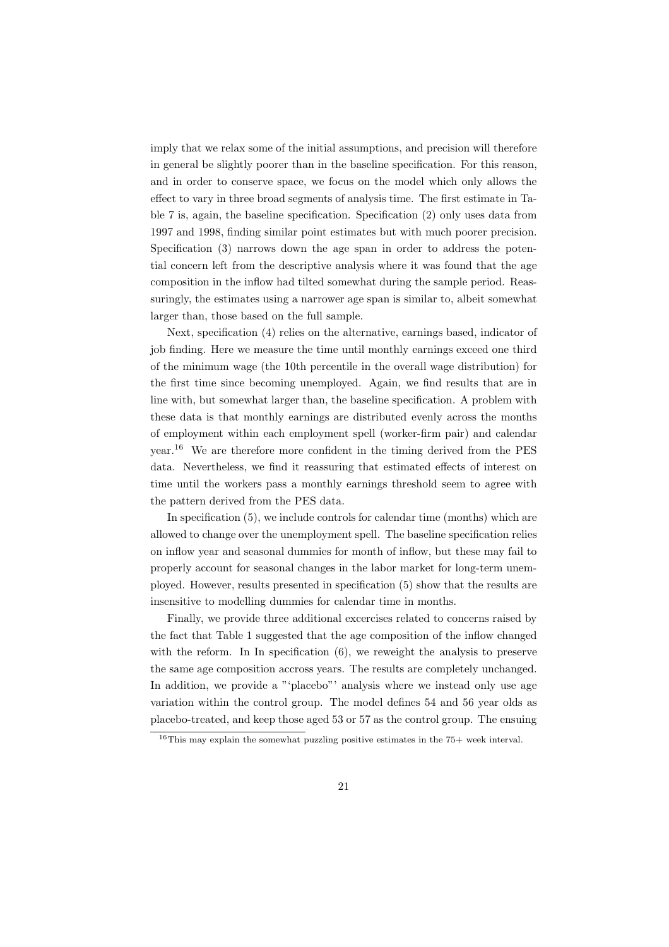imply that we relax some of the initial assumptions, and precision will therefore in general be slightly poorer than in the baseline specification. For this reason, and in order to conserve space, we focus on the model which only allows the effect to vary in three broad segments of analysis time. The first estimate in Table 7 is, again, the baseline specification. Specification (2) only uses data from 1997 and 1998, finding similar point estimates but with much poorer precision. Specification (3) narrows down the age span in order to address the potential concern left from the descriptive analysis where it was found that the age composition in the inflow had tilted somewhat during the sample period. Reassuringly, the estimates using a narrower age span is similar to, albeit somewhat larger than, those based on the full sample.

Next, specification (4) relies on the alternative, earnings based, indicator of job finding. Here we measure the time until monthly earnings exceed one third of the minimum wage (the 10th percentile in the overall wage distribution) for the first time since becoming unemployed. Again, we find results that are in line with, but somewhat larger than, the baseline specification. A problem with these data is that monthly earnings are distributed evenly across the months of employment within each employment spell (worker-firm pair) and calendar year.<sup>16</sup> We are therefore more confident in the timing derived from the PES data. Nevertheless, we find it reassuring that estimated effects of interest on time until the workers pass a monthly earnings threshold seem to agree with the pattern derived from the PES data.

In specification  $(5)$ , we include controls for calendar time (months) which are allowed to change over the unemployment spell. The baseline specification relies on inflow year and seasonal dummies for month of inflow, but these may fail to properly account for seasonal changes in the labor market for long-term unemployed. However, results presented in specification (5) show that the results are insensitive to modelling dummies for calendar time in months.

Finally, we provide three additional excercises related to concerns raised by the fact that Table 1 suggested that the age composition of the inflow changed with the reform. In In specification  $(6)$ , we reweight the analysis to preserve the same age composition accross years. The results are completely unchanged. In addition, we provide a "'placebo"' analysis where we instead only use age variation within the control group. The model defines 54 and 56 year olds as placebo-treated, and keep those aged 53 or 57 as the control group. The ensuing

<sup>16</sup>This may explain the somewhat puzzling positive estimates in the 75+ week interval.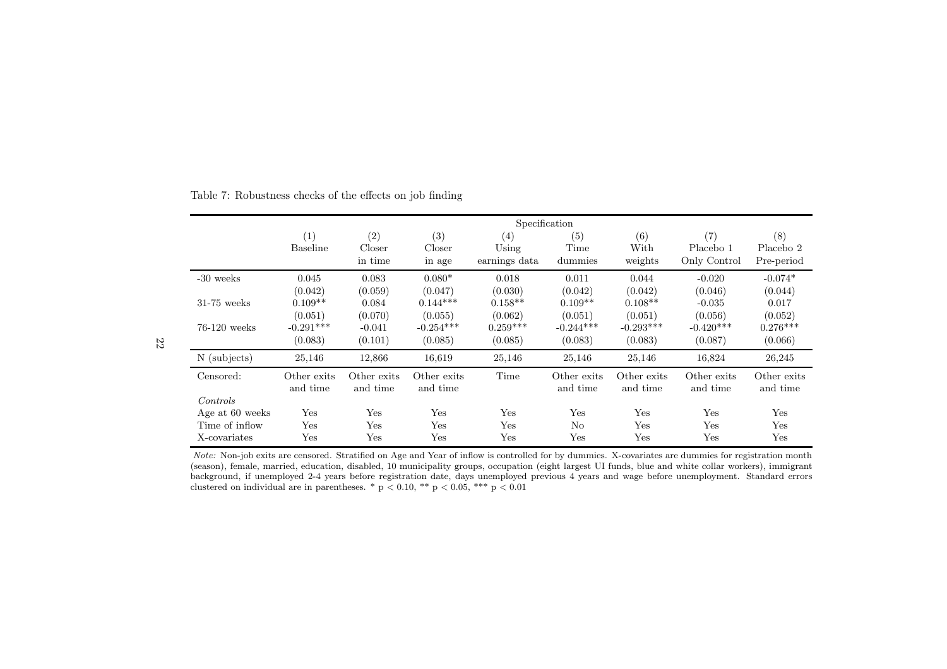|                 |                         |                         |                         | Specification |                         |                         |                         |                         |
|-----------------|-------------------------|-------------------------|-------------------------|---------------|-------------------------|-------------------------|-------------------------|-------------------------|
|                 | (1)<br><b>Baseline</b>  | (2)<br>Closer           | (3)<br>Closer           | (4)<br>Using  | (5)<br>Time             | (6)<br>With             | (7)<br>Placebo 1        | (8)<br>Placebo 2        |
|                 |                         | in time                 | in age                  | earnings data | dummies                 | weights                 | Only Control            | Pre-period              |
| $-30$ weeks     | 0.045                   | 0.083                   | $0.080*$                | 0.018         | 0.011                   | 0.044                   | $-0.020$                | $-0.074*$               |
|                 | (0.042)                 | (0.059)                 | (0.047)                 | (0.030)       | (0.042)                 | (0.042)                 | (0.046)                 | (0.044)                 |
| $31-75$ weeks   | $0.109**$               | 0.084                   | $0.144***$              | $0.158**$     | $0.109**$               | $0.108**$               | $-0.035$                | 0.017                   |
|                 | (0.051)                 | (0.070)                 | (0.055)                 | (0.062)       | (0.051)                 | (0.051)                 | (0.056)                 | (0.052)                 |
| $76-120$ weeks  | $-0.291***$             | $-0.041$                | $-0.254***$             | $0.259***$    | $-0.244***$             | $-0.293***$             | $-0.420***$             | $0.276***$              |
|                 | (0.083)                 | (0.101)                 | (0.085)                 | (0.085)       | (0.083)                 | (0.083)                 | (0.087)                 | (0.066)                 |
| N (subjects)    | 25,146                  | 12,866                  | 16,619                  | 25,146        | 25,146                  | 25,146                  | 16,824                  | 26,245                  |
| Censored:       | Other exits<br>and time | Other exits<br>and time | Other exits<br>and time | Time          | Other exits<br>and time | Other exits<br>and time | Other exits<br>and time | Other exits<br>and time |
| Controls        |                         |                         |                         |               |                         |                         |                         |                         |
| Age at 60 weeks | Yes                     | Yes                     | Yes                     | Yes           | Yes                     | Yes                     | Yes                     | Yes                     |
| Time of inflow  | Yes                     | Yes                     | Yes                     | Yes           | N <sub>o</sub>          | Yes                     | Yes                     | Yes                     |
| X-covariates    | Yes                     | Yes                     | Yes                     | Yes           | Yes                     | Yes                     | $_{\rm Yes}$            | Yes                     |

Table 7: Robustness checks of the effects on job finding

Note: Non-job exits are censored. Stratified on Age and Year of inflow is controlled for by dummies. X-covariates are dummies for registration month (season), female, married, education, disabled, <sup>10</sup> municipality groups, occupation (eight largest UI funds, blue and white collar workers), immigrant background, if unemployed 2-4 years before registration date, days unemployed previous <sup>4</sup> years and wage before unemployment. Standard errors clustered on individual are in parentheses. \*  $p < 0.10$ , \*\*  $p < 0.05$ , \*\*\*  $p < 0.01$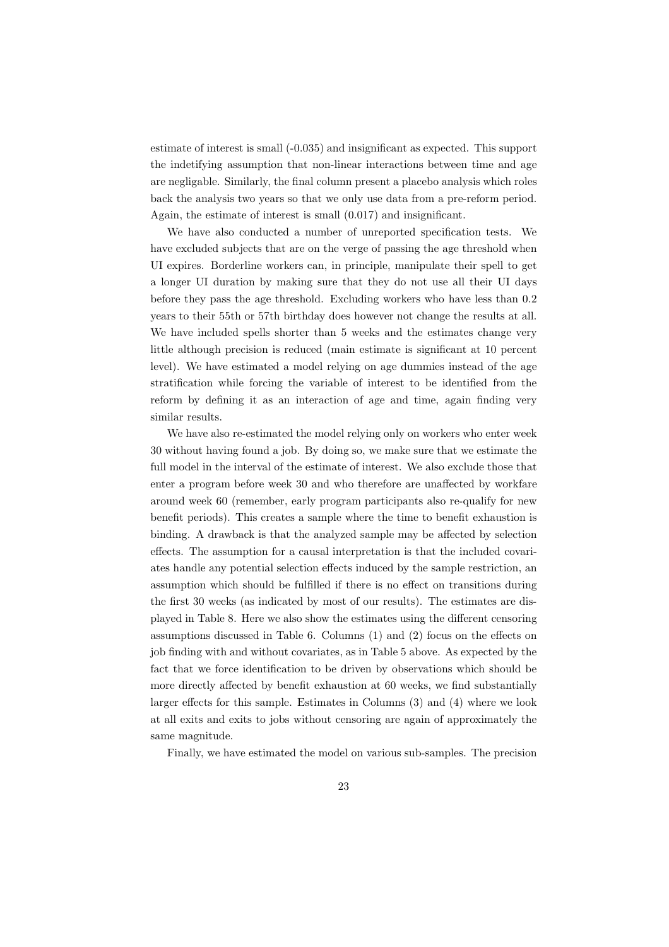estimate of interest is small (-0.035) and insignificant as expected. This support the indetifying assumption that non-linear interactions between time and age are negligable. Similarly, the final column present a placebo analysis which roles back the analysis two years so that we only use data from a pre-reform period. Again, the estimate of interest is small (0.017) and insignificant.

We have also conducted a number of unreported specification tests. We have excluded subjects that are on the verge of passing the age threshold when UI expires. Borderline workers can, in principle, manipulate their spell to get a longer UI duration by making sure that they do not use all their UI days before they pass the age threshold. Excluding workers who have less than 0.2 years to their 55th or 57th birthday does however not change the results at all. We have included spells shorter than 5 weeks and the estimates change very little although precision is reduced (main estimate is significant at 10 percent level). We have estimated a model relying on age dummies instead of the age stratification while forcing the variable of interest to be identified from the reform by defining it as an interaction of age and time, again finding very similar results.

We have also re-estimated the model relying only on workers who enter week 30 without having found a job. By doing so, we make sure that we estimate the full model in the interval of the estimate of interest. We also exclude those that enter a program before week 30 and who therefore are unaffected by workfare around week 60 (remember, early program participants also re-qualify for new benefit periods). This creates a sample where the time to benefit exhaustion is binding. A drawback is that the analyzed sample may be affected by selection effects. The assumption for a causal interpretation is that the included covariates handle any potential selection effects induced by the sample restriction, an assumption which should be fulfilled if there is no effect on transitions during the first 30 weeks (as indicated by most of our results). The estimates are displayed in Table 8. Here we also show the estimates using the different censoring assumptions discussed in Table 6. Columns (1) and (2) focus on the effects on job finding with and without covariates, as in Table 5 above. As expected by the fact that we force identification to be driven by observations which should be more directly affected by benefit exhaustion at 60 weeks, we find substantially larger effects for this sample. Estimates in Columns (3) and (4) where we look at all exits and exits to jobs without censoring are again of approximately the same magnitude.

Finally, we have estimated the model on various sub-samples. The precision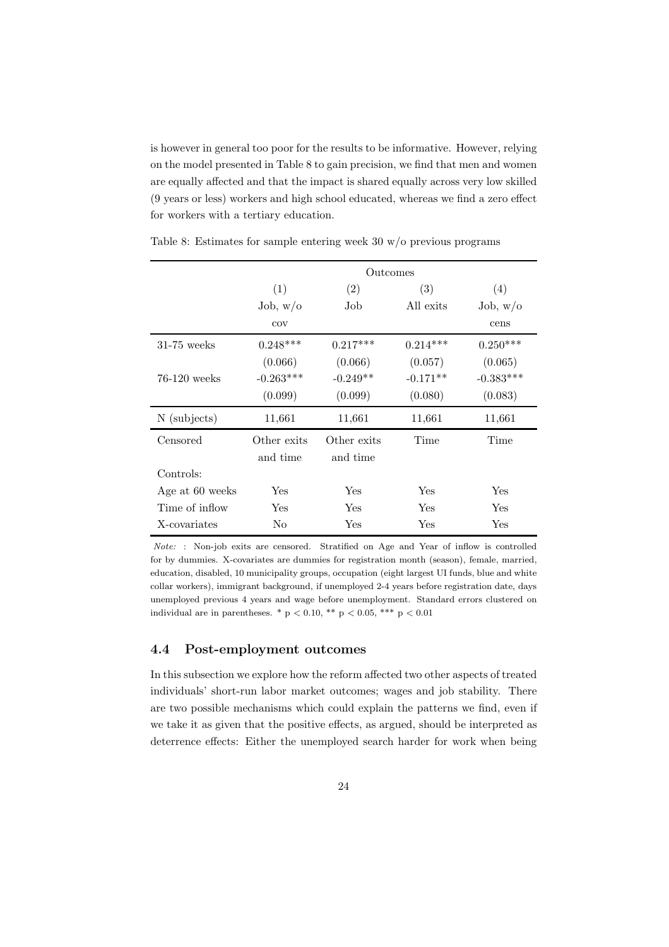is however in general too poor for the results to be informative. However, relying on the model presented in Table 8 to gain precision, we find that men and women are equally affected and that the impact is shared equally across very low skilled (9 years or less) workers and high school educated, whereas we find a zero effect for workers with a tertiary education.

|                 |                      | Outcomes    |            |             |
|-----------------|----------------------|-------------|------------|-------------|
|                 | (1)                  | (2)         | (3)        | (4)         |
|                 | Job, w/o             | Job         | All exits  | Job, w/o    |
|                 | cov                  |             |            | cens        |
| $31-75$ weeks   | $0.248***$           | $0.217***$  | $0.214***$ | $0.250***$  |
|                 | (0.066)              | (0.066)     | (0.057)    | (0.065)     |
| $76-120$ weeks  | $-0.263***$          | $-0.249**$  | $-0.171**$ | $-0.383***$ |
|                 | (0.099)              | (0.099)     | (0.080)    | (0.083)     |
| N (subjects)    | 11,661               | 11,661      | 11,661     | 11,661      |
| Censored        | Other exits          | Other exits | Time       | Time        |
|                 | and time             | and time    |            |             |
| Controls:       |                      |             |            |             |
| Age at 60 weeks | $\operatorname{Yes}$ | Yes         | Yes        | Yes         |
| Time of inflow  | Yes                  | Yes         | Yes        | Yes         |
| X-covariates    | No                   | Yes         | Yes        | Yes         |

Table 8: Estimates for sample entering week 30 w/o previous programs

Note: : Non-job exits are censored. Stratified on Age and Year of inflow is controlled for by dummies. X-covariates are dummies for registration month (season), female, married, education, disabled, 10 municipality groups, occupation (eight largest UI funds, blue and white collar workers), immigrant background, if unemployed 2-4 years before registration date, days unemployed previous 4 years and wage before unemployment. Standard errors clustered on individual are in parentheses.  $* \text{p} < 0.10$ ,  $** \text{p} < 0.05$ ,  $*** \text{p} < 0.01$ 

### 4.4 Post-employment outcomes

In this subsection we explore how the reform affected two other aspects of treated individuals' short-run labor market outcomes; wages and job stability. There are two possible mechanisms which could explain the patterns we find, even if we take it as given that the positive effects, as argued, should be interpreted as deterrence effects: Either the unemployed search harder for work when being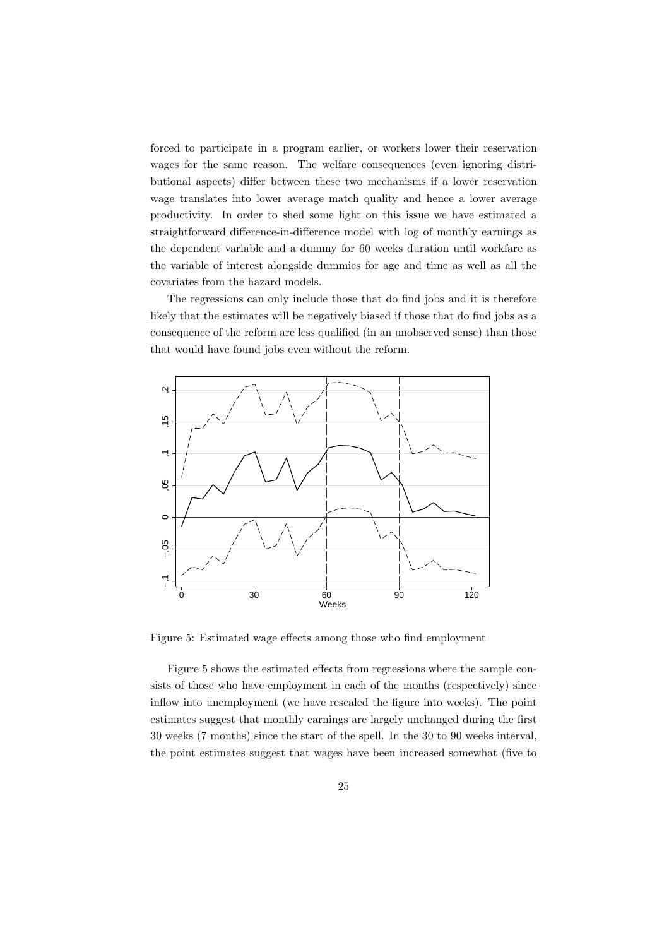forced to participate in a program earlier, or workers lower their reservation wages for the same reason. The welfare consequences (even ignoring distributional aspects) differ between these two mechanisms if a lower reservation wage translates into lower average match quality and hence a lower average productivity. In order to shed some light on this issue we have estimated a straightforward difference-in-difference model with log of monthly earnings as the dependent variable and a dummy for 60 weeks duration until workfare as the variable of interest alongside dummies for age and time as well as all the covariates from the hazard models.

The regressions can only include those that do find jobs and it is therefore likely that the estimates will be negatively biased if those that do find jobs as a consequence of the reform are less qualified (in an unobserved sense) than those that would have found jobs even without the reform.



Figure 5: Estimated wage effects among those who find employment

Figure 5 shows the estimated effects from regressions where the sample consists of those who have employment in each of the months (respectively) since inflow into unemployment (we have rescaled the figure into weeks). The point estimates suggest that monthly earnings are largely unchanged during the first 30 weeks (7 months) since the start of the spell. In the 30 to 90 weeks interval, the point estimates suggest that wages have been increased somewhat (five to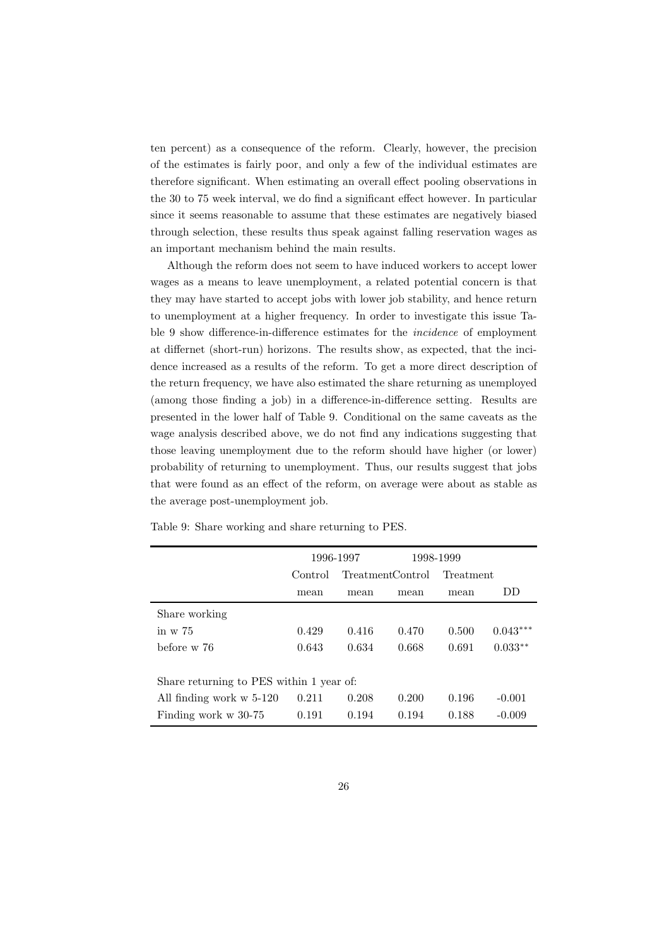ten percent) as a consequence of the reform. Clearly, however, the precision of the estimates is fairly poor, and only a few of the individual estimates are therefore significant. When estimating an overall effect pooling observations in the 30 to 75 week interval, we do find a significant effect however. In particular since it seems reasonable to assume that these estimates are negatively biased through selection, these results thus speak against falling reservation wages as an important mechanism behind the main results.

Although the reform does not seem to have induced workers to accept lower wages as a means to leave unemployment, a related potential concern is that they may have started to accept jobs with lower job stability, and hence return to unemployment at a higher frequency. In order to investigate this issue Table 9 show difference-in-difference estimates for the incidence of employment at differnet (short-run) horizons. The results show, as expected, that the incidence increased as a results of the reform. To get a more direct description of the return frequency, we have also estimated the share returning as unemployed (among those finding a job) in a difference-in-difference setting. Results are presented in the lower half of Table 9. Conditional on the same caveats as the wage analysis described above, we do not find any indications suggesting that those leaving unemployment due to the reform should have higher (or lower) probability of returning to unemployment. Thus, our results suggest that jobs that were found as an effect of the reform, on average were about as stable as the average post-unemployment job.

|                                          |         | 1996-1997 |                  | 1998-1999 |            |
|------------------------------------------|---------|-----------|------------------|-----------|------------|
|                                          | Control |           | TreatmentControl | Treatment |            |
|                                          | mean    | mean      | mean             | mean      | DD         |
| Share working                            |         |           |                  |           |            |
| in $\rm w$ 75                            | 0.429   | 0.416     | 0.470            | 0.500     | $0.043***$ |
| before w 76                              | 0.643   | 0.634     | 0.668            | 0.691     | $0.033**$  |
|                                          |         |           |                  |           |            |
| Share returning to PES within 1 year of: |         |           |                  |           |            |
| All finding work w 5-120                 | 0.211   | 0.208     | 0.200            | 0.196     | $-0.001$   |
| Finding work w 30-75                     | 0.191   | 0.194     | 0.194            | 0.188     | $-0.009$   |

Table 9: Share working and share returning to PES.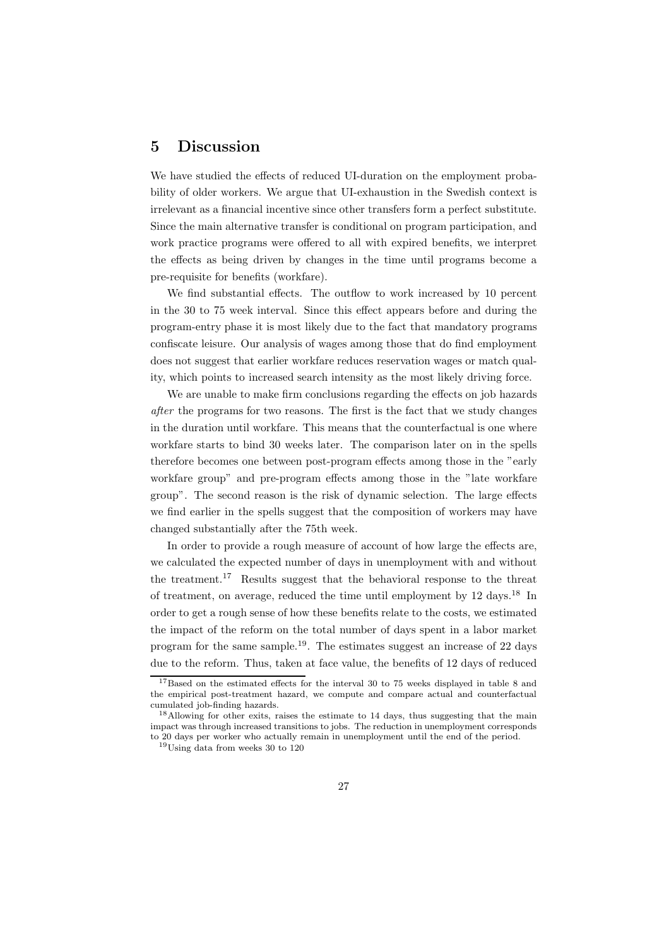## 5 Discussion

We have studied the effects of reduced UI-duration on the employment probability of older workers. We argue that UI-exhaustion in the Swedish context is irrelevant as a financial incentive since other transfers form a perfect substitute. Since the main alternative transfer is conditional on program participation, and work practice programs were offered to all with expired benefits, we interpret the effects as being driven by changes in the time until programs become a pre-requisite for benefits (workfare).

We find substantial effects. The outflow to work increased by 10 percent in the 30 to 75 week interval. Since this effect appears before and during the program-entry phase it is most likely due to the fact that mandatory programs confiscate leisure. Our analysis of wages among those that do find employment does not suggest that earlier workfare reduces reservation wages or match quality, which points to increased search intensity as the most likely driving force.

We are unable to make firm conclusions regarding the effects on job hazards after the programs for two reasons. The first is the fact that we study changes in the duration until workfare. This means that the counterfactual is one where workfare starts to bind 30 weeks later. The comparison later on in the spells therefore becomes one between post-program effects among those in the "early workfare group" and pre-program effects among those in the "late workfare group". The second reason is the risk of dynamic selection. The large effects we find earlier in the spells suggest that the composition of workers may have changed substantially after the 75th week.

In order to provide a rough measure of account of how large the effects are, we calculated the expected number of days in unemployment with and without the treatment.<sup>17</sup> Results suggest that the behavioral response to the threat of treatment, on average, reduced the time until employment by 12 days.<sup>18</sup> In order to get a rough sense of how these benefits relate to the costs, we estimated the impact of the reform on the total number of days spent in a labor market program for the same sample.<sup>19</sup>. The estimates suggest an increase of 22 days due to the reform. Thus, taken at face value, the benefits of 12 days of reduced

<sup>&</sup>lt;sup>17</sup>Based on the estimated effects for the interval 30 to 75 weeks displayed in table 8 and the empirical post-treatment hazard, we compute and compare actual and counterfactual cumulated job-finding hazards.

<sup>&</sup>lt;sup>18</sup>Allowing for other exits, raises the estimate to 14 days, thus suggesting that the main impact was through increased transitions to jobs. The reduction in unemployment corresponds to 20 days per worker who actually remain in unemployment until the end of the period.

<sup>19</sup>Using data from weeks 30 to 120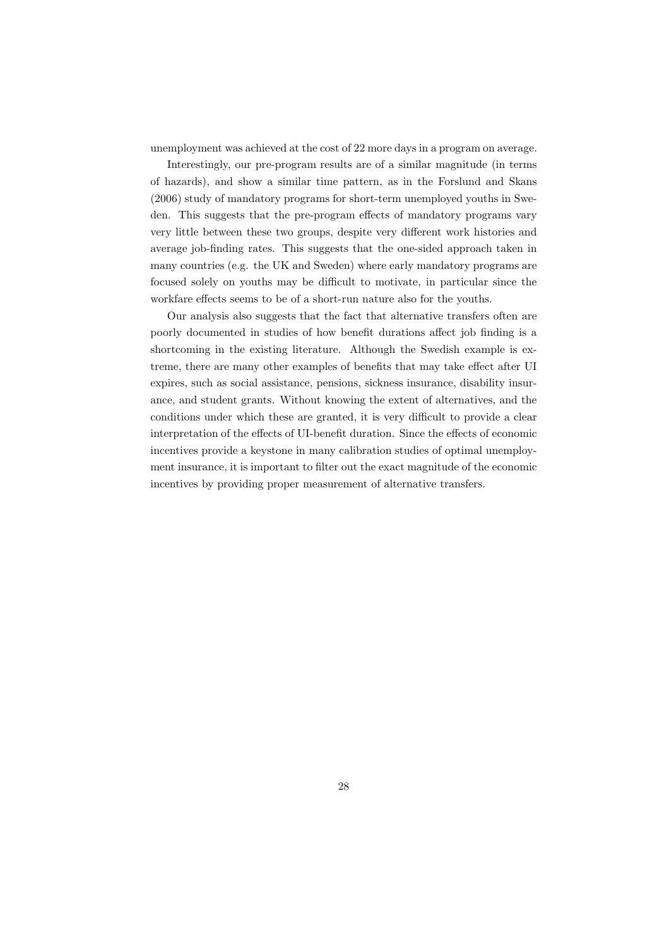unemployment was achieved at the cost of 22 more days in a program on average.

Interestingly, our pre-program results are of a similar magnitude (in terms of hazards), and show a similar time pattern, as in the Forslund and Skans (2006) study of mandatory programs for short-term unemployed youths in Sweden. This suggests that the pre-program effects of mandatory programs vary very little between these two groups, despite very different work histories and average job-finding rates. This suggests that the one-sided approach taken in many countries (e.g. the UK and Sweden) where early mandatory programs are focused solely on youths may be difficult to motivate, in particular since the workfare effects seems to be of a short-run nature also for the youths.

Our analysis also suggests that the fact that alternative transfers often are poorly documented in studies of how benefit durations affect job finding is a shortcoming in the existing literature. Although the Swedish example is extreme, there are many other examples of benefits that may take effect after UI expires, such as social assistance, pensions, sickness insurance, disability insurance, and student grants. Without knowing the extent of alternatives, and the conditions under which these are granted, it is very difficult to provide a clear interpretation of the effects of UI-benefit duration. Since the effects of economic incentives provide a keystone in many calibration studies of optimal unemployment insurance, it is important to filter out the exact magnitude of the economic incentives by providing proper measurement of alternative transfers.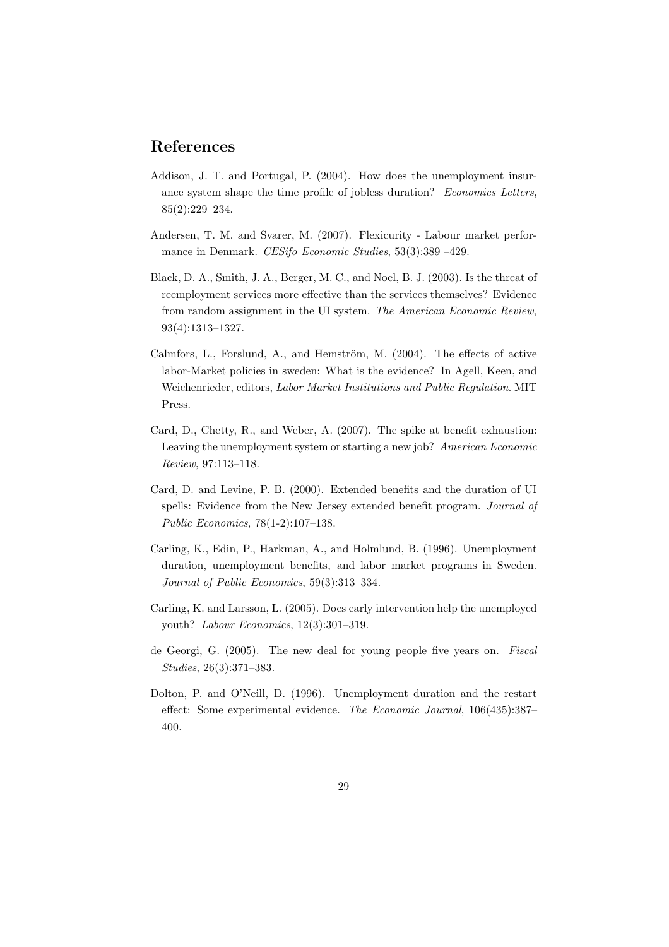# References

- Addison, J. T. and Portugal, P. (2004). How does the unemployment insurance system shape the time profile of jobless duration? Economics Letters, 85(2):229–234.
- Andersen, T. M. and Svarer, M. (2007). Flexicurity Labour market performance in Denmark. CESifo Economic Studies, 53(3):389 –429.
- Black, D. A., Smith, J. A., Berger, M. C., and Noel, B. J. (2003). Is the threat of reemployment services more effective than the services themselves? Evidence from random assignment in the UI system. The American Economic Review, 93(4):1313–1327.
- Calmfors, L., Forslund, A., and Hemström, M.  $(2004)$ . The effects of active labor-Market policies in sweden: What is the evidence? In Agell, Keen, and Weichenrieder, editors, Labor Market Institutions and Public Regulation. MIT Press.
- Card, D., Chetty, R., and Weber, A. (2007). The spike at benefit exhaustion: Leaving the unemployment system or starting a new job? American Economic Review, 97:113–118.
- Card, D. and Levine, P. B. (2000). Extended benefits and the duration of UI spells: Evidence from the New Jersey extended benefit program. Journal of Public Economics, 78(1-2):107–138.
- Carling, K., Edin, P., Harkman, A., and Holmlund, B. (1996). Unemployment duration, unemployment benefits, and labor market programs in Sweden. Journal of Public Economics, 59(3):313–334.
- Carling, K. and Larsson, L. (2005). Does early intervention help the unemployed youth? Labour Economics, 12(3):301–319.
- de Georgi, G. (2005). The new deal for young people five years on. Fiscal Studies, 26(3):371–383.
- Dolton, P. and O'Neill, D. (1996). Unemployment duration and the restart effect: Some experimental evidence. The Economic Journal, 106(435):387– 400.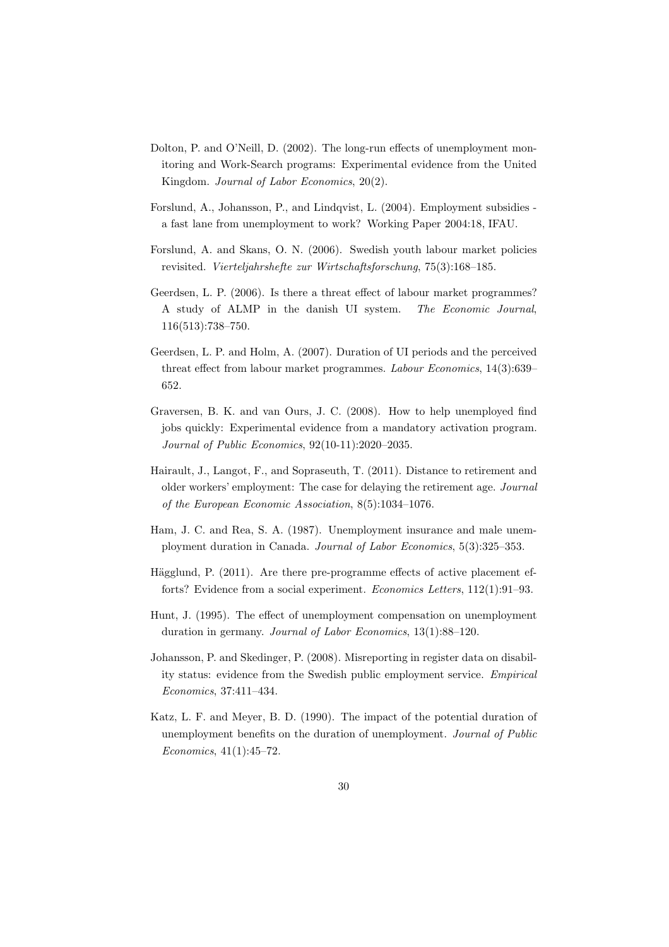- Dolton, P. and O'Neill, D. (2002). The long-run effects of unemployment monitoring and Work-Search programs: Experimental evidence from the United Kingdom. Journal of Labor Economics, 20(2).
- Forslund, A., Johansson, P., and Lindqvist, L. (2004). Employment subsidies a fast lane from unemployment to work? Working Paper 2004:18, IFAU.
- Forslund, A. and Skans, O. N. (2006). Swedish youth labour market policies revisited. Vierteljahrshefte zur Wirtschaftsforschung, 75(3):168–185.
- Geerdsen, L. P. (2006). Is there a threat effect of labour market programmes? A study of ALMP in the danish UI system. The Economic Journal, 116(513):738–750.
- Geerdsen, L. P. and Holm, A. (2007). Duration of UI periods and the perceived threat effect from labour market programmes. Labour Economics, 14(3):639– 652.
- Graversen, B. K. and van Ours, J. C. (2008). How to help unemployed find jobs quickly: Experimental evidence from a mandatory activation program. Journal of Public Economics, 92(10-11):2020–2035.
- Hairault, J., Langot, F., and Sopraseuth, T. (2011). Distance to retirement and older workers' employment: The case for delaying the retirement age. Journal of the European Economic Association, 8(5):1034–1076.
- Ham, J. C. and Rea, S. A. (1987). Unemployment insurance and male unemployment duration in Canada. Journal of Labor Economics, 5(3):325–353.
- Hägglund, P.  $(2011)$ . Are there pre-programme effects of active placement efforts? Evidence from a social experiment. Economics Letters, 112(1):91–93.
- Hunt, J. (1995). The effect of unemployment compensation on unemployment duration in germany. Journal of Labor Economics, 13(1):88–120.
- Johansson, P. and Skedinger, P. (2008). Misreporting in register data on disability status: evidence from the Swedish public employment service. Empirical Economics, 37:411–434.
- Katz, L. F. and Meyer, B. D. (1990). The impact of the potential duration of unemployment benefits on the duration of unemployment. Journal of Public Economics, 41(1):45–72.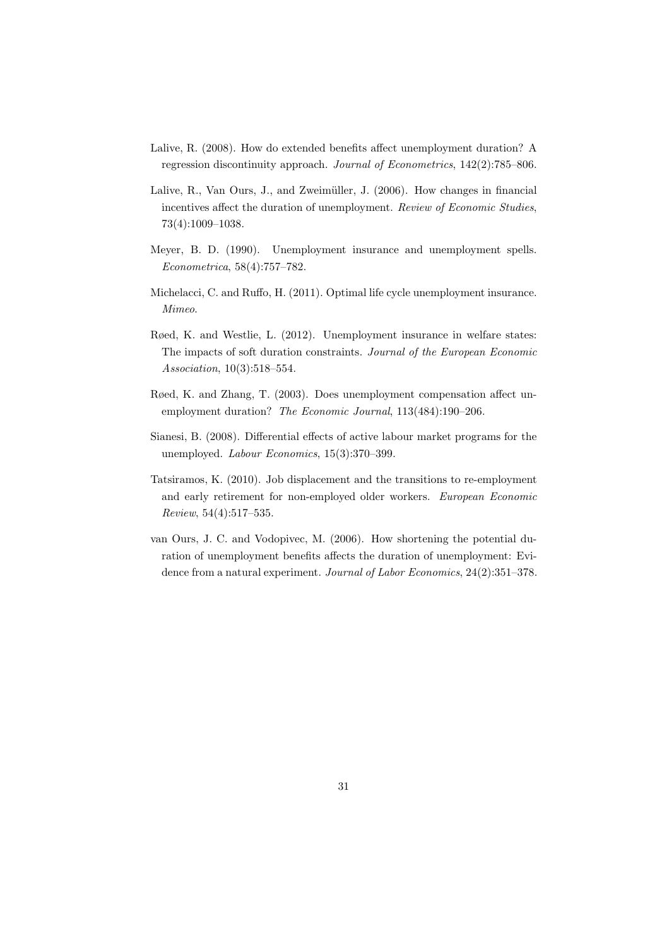- Lalive, R. (2008). How do extended benefits affect unemployment duration? A regression discontinuity approach. Journal of Econometrics, 142(2):785–806.
- Lalive, R., Van Ours, J., and Zweimüller, J. (2006). How changes in financial incentives affect the duration of unemployment. Review of Economic Studies, 73(4):1009–1038.
- Meyer, B. D. (1990). Unemployment insurance and unemployment spells. Econometrica, 58(4):757–782.
- Michelacci, C. and Ruffo, H. (2011). Optimal life cycle unemployment insurance. Mimeo.
- Røed, K. and Westlie, L. (2012). Unemployment insurance in welfare states: The impacts of soft duration constraints. Journal of the European Economic Association, 10(3):518–554.
- Røed, K. and Zhang, T. (2003). Does unemployment compensation affect unemployment duration? The Economic Journal, 113(484):190–206.
- Sianesi, B. (2008). Differential effects of active labour market programs for the unemployed. Labour Economics, 15(3):370–399.
- Tatsiramos, K. (2010). Job displacement and the transitions to re-employment and early retirement for non-employed older workers. European Economic Review, 54(4):517–535.
- van Ours, J. C. and Vodopivec, M. (2006). How shortening the potential duration of unemployment benefits affects the duration of unemployment: Evidence from a natural experiment. Journal of Labor Economics, 24(2):351–378.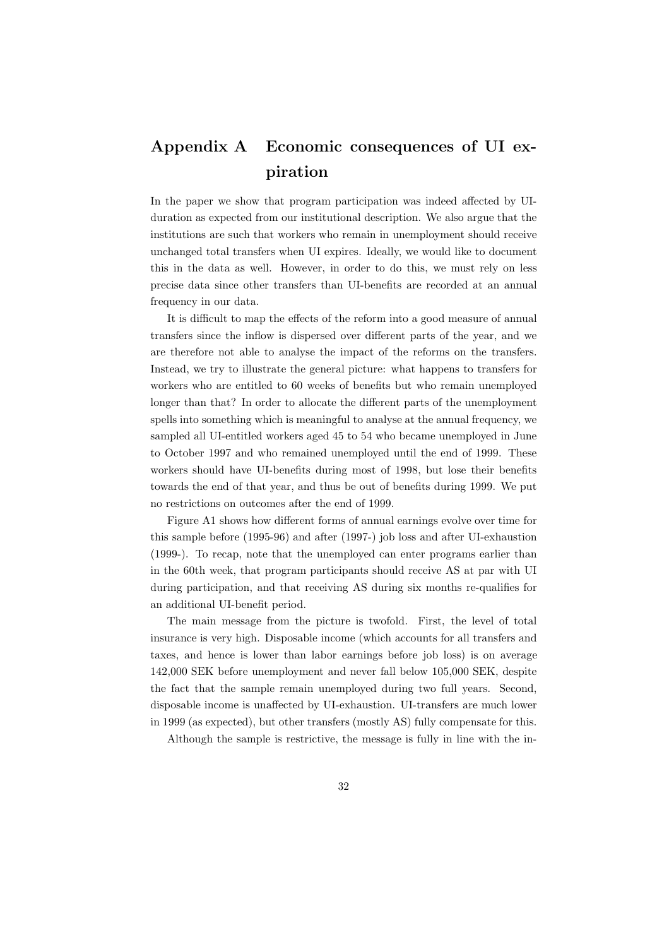# Appendix A Economic consequences of UI expiration

In the paper we show that program participation was indeed affected by UIduration as expected from our institutional description. We also argue that the institutions are such that workers who remain in unemployment should receive unchanged total transfers when UI expires. Ideally, we would like to document this in the data as well. However, in order to do this, we must rely on less precise data since other transfers than UI-benefits are recorded at an annual frequency in our data.

It is difficult to map the effects of the reform into a good measure of annual transfers since the inflow is dispersed over different parts of the year, and we are therefore not able to analyse the impact of the reforms on the transfers. Instead, we try to illustrate the general picture: what happens to transfers for workers who are entitled to 60 weeks of benefits but who remain unemployed longer than that? In order to allocate the different parts of the unemployment spells into something which is meaningful to analyse at the annual frequency, we sampled all UI-entitled workers aged 45 to 54 who became unemployed in June to October 1997 and who remained unemployed until the end of 1999. These workers should have UI-benefits during most of 1998, but lose their benefits towards the end of that year, and thus be out of benefits during 1999. We put no restrictions on outcomes after the end of 1999.

Figure A1 shows how different forms of annual earnings evolve over time for this sample before (1995-96) and after (1997-) job loss and after UI-exhaustion (1999-). To recap, note that the unemployed can enter programs earlier than in the 60th week, that program participants should receive AS at par with UI during participation, and that receiving AS during six months re-qualifies for an additional UI-benefit period.

The main message from the picture is twofold. First, the level of total insurance is very high. Disposable income (which accounts for all transfers and taxes, and hence is lower than labor earnings before job loss) is on average 142,000 SEK before unemployment and never fall below 105,000 SEK, despite the fact that the sample remain unemployed during two full years. Second, disposable income is unaffected by UI-exhaustion. UI-transfers are much lower in 1999 (as expected), but other transfers (mostly AS) fully compensate for this.

Although the sample is restrictive, the message is fully in line with the in-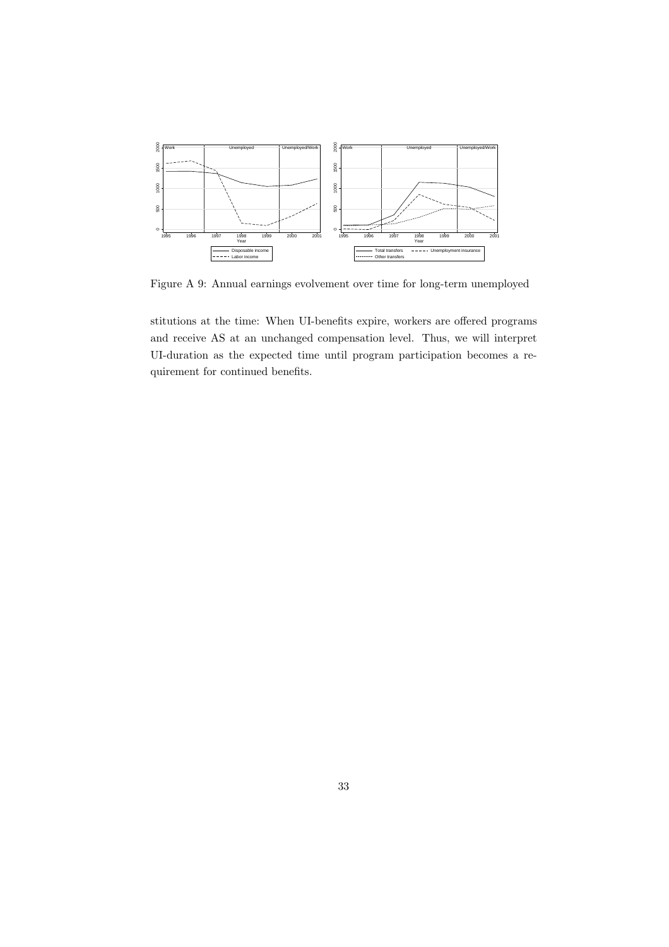

Figure A 9: Annual earnings evolvement over time for long-term unemployed

stitutions at the time: When UI-benefits expire, workers are offered programs and receive AS at an unchanged compensation level. Thus, we will interpret UI-duration as the expected time until program participation becomes a requirement for continued benefits.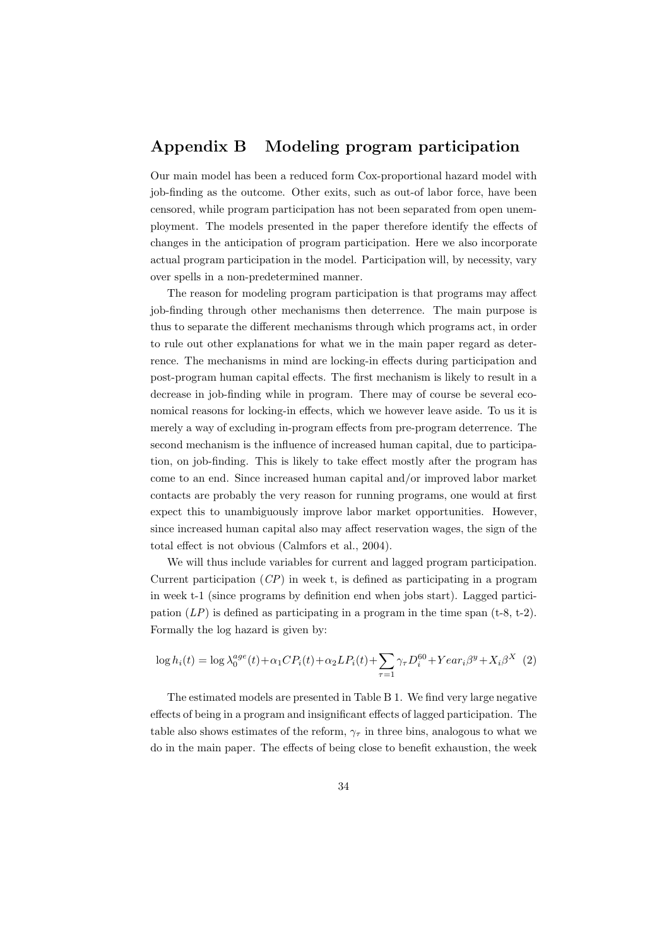# Appendix B Modeling program participation

Our main model has been a reduced form Cox-proportional hazard model with job-finding as the outcome. Other exits, such as out-of labor force, have been censored, while program participation has not been separated from open unemployment. The models presented in the paper therefore identify the effects of changes in the anticipation of program participation. Here we also incorporate actual program participation in the model. Participation will, by necessity, vary over spells in a non-predetermined manner.

The reason for modeling program participation is that programs may affect job-finding through other mechanisms then deterrence. The main purpose is thus to separate the different mechanisms through which programs act, in order to rule out other explanations for what we in the main paper regard as deterrence. The mechanisms in mind are locking-in effects during participation and post-program human capital effects. The first mechanism is likely to result in a decrease in job-finding while in program. There may of course be several economical reasons for locking-in effects, which we however leave aside. To us it is merely a way of excluding in-program effects from pre-program deterrence. The second mechanism is the influence of increased human capital, due to participation, on job-finding. This is likely to take effect mostly after the program has come to an end. Since increased human capital and/or improved labor market contacts are probably the very reason for running programs, one would at first expect this to unambiguously improve labor market opportunities. However, since increased human capital also may affect reservation wages, the sign of the total effect is not obvious (Calmfors et al., 2004).

We will thus include variables for current and lagged program participation. Current participation  $(CP)$  in week t, is defined as participating in a program in week t-1 (since programs by definition end when jobs start). Lagged participation  $(LP)$  is defined as participating in a program in the time span  $(t-8, t-2)$ . Formally the log hazard is given by:

$$
\log h_i(t) = \log \lambda_0^{age}(t) + \alpha_1 CP_i(t) + \alpha_2 LP_i(t) + \sum_{\tau=1} \gamma_{\tau} D_i^{60} + Year_i \beta^y + X_i \beta^X \tag{2}
$$

The estimated models are presented in Table B 1. We find very large negative effects of being in a program and insignificant effects of lagged participation. The table also shows estimates of the reform,  $\gamma_{\tau}$  in three bins, analogous to what we do in the main paper. The effects of being close to benefit exhaustion, the week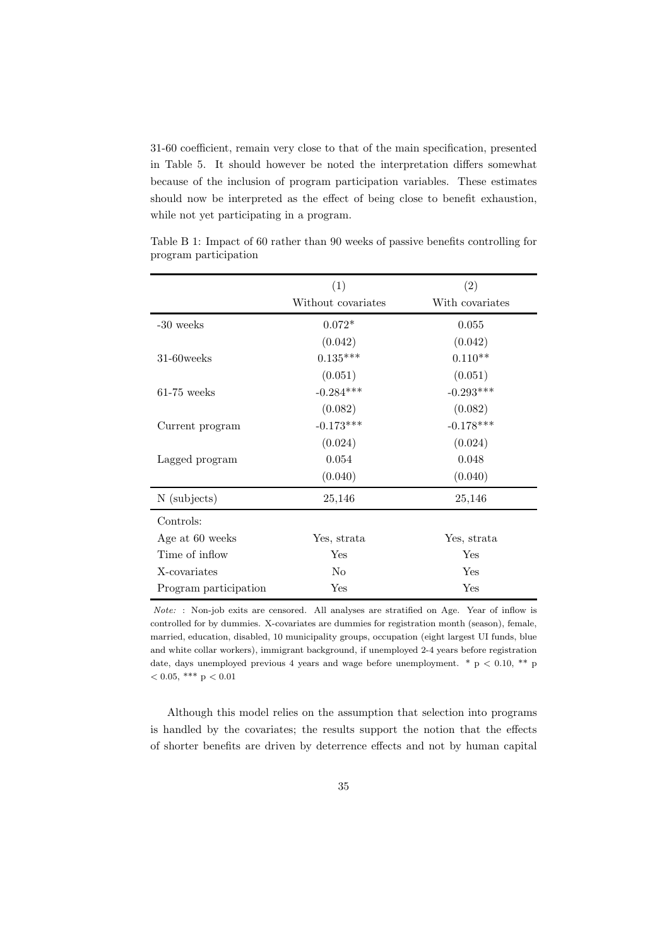31-60 coefficient, remain very close to that of the main specification, presented in Table 5. It should however be noted the interpretation differs somewhat because of the inclusion of program participation variables. These estimates should now be interpreted as the effect of being close to benefit exhaustion, while not yet participating in a program.

|                       | (1)                | $\left( 2\right)$ |
|-----------------------|--------------------|-------------------|
|                       | Without covariates | With covariates   |
| $-30$ weeks           | $0.072*$           | 0.055             |
|                       | (0.042)            | (0.042)           |
| 31-60 weeks           | $0.135***$         | $0.110**$         |
|                       | (0.051)            | (0.051)           |
| $61-75$ weeks         | $-0.284***$        | $-0.293***$       |
|                       | (0.082)            | (0.082)           |
| Current program       | $-0.173***$        | $-0.178***$       |
|                       | (0.024)            | (0.024)           |
| Lagged program        | 0.054              | 0.048             |
|                       | (0.040)            | (0.040)           |
| N (subjects)          | 25,146             | 25,146            |
| Controls:             |                    |                   |
| Age at 60 weeks       | Yes, strata        | Yes, strata       |
| Time of inflow        | Yes                | Yes               |
| X-covariates          | N <sub>o</sub>     | Yes               |
| Program participation | $_{\rm Yes}$       | Yes               |

Table B 1: Impact of 60 rather than 90 weeks of passive benefits controlling for program participation

Although this model relies on the assumption that selection into programs is handled by the covariates; the results support the notion that the effects of shorter benefits are driven by deterrence effects and not by human capital

Note: : Non-job exits are censored. All analyses are stratified on Age. Year of inflow is controlled for by dummies. X-covariates are dummies for registration month (season), female, married, education, disabled, 10 municipality groups, occupation (eight largest UI funds, blue and white collar workers), immigrant background, if unemployed 2-4 years before registration date, days unemployed previous 4 years and wage before unemployment.  $* p < 0.10$ ,  $** p$  $< 0.05$ , \*\*\* p  $< 0.01$